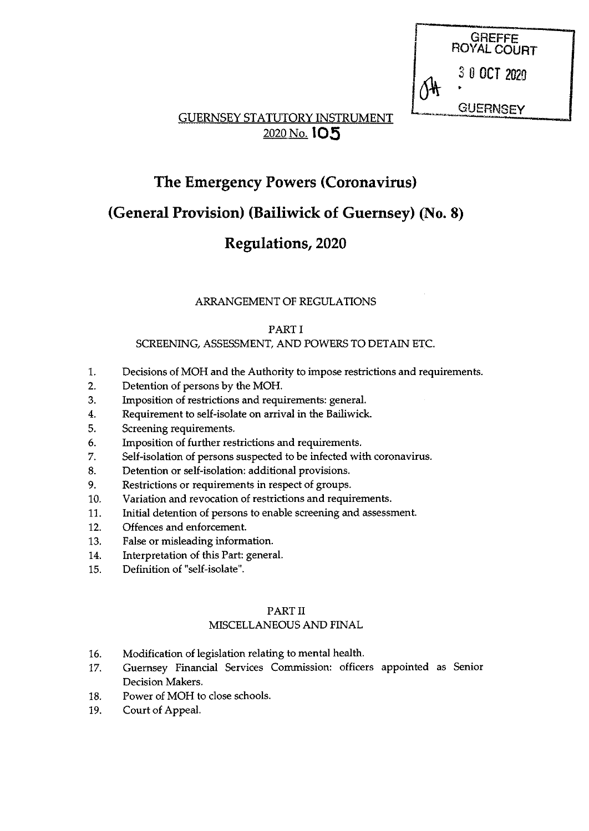**GREFFE** ROYAL COURT 3 0 OCT 2020 **GUERNSEY** 

Til Samster om det generalige en der Kalender von Stadt andere av den kalender von Stadt andere av der Elizabe

# GUERNSEY STATUTORY INSTRUMENT 2020 No. 105

# The Emergency Powers (Coronavirus)

# (General Provision) (Bailiwick of Guernsey) (No. 8)

# Regulations, 2020

# ARRANGEMENT OF REGULATIONS

# PART <sup>I</sup>

## SCREENING, ASSESSMENT, AND POWERS TO DETAIN ETC.

- 1. Decisions of MOR and the Authority to impose restrictions and requirements.
- 2. Detention of persons by the MOH.
- 3. Imposition of restrictions and requirements: general.
- 4. Requirement to self-isolate on arrival in the Bailiwick.
- 5. Screening requirements.
- 6. Imposition of further restrictions and requirements.
- 7. Self-isolation of persons suspected to be infected with coronavirus.
- 8. Detention or self-isolation: additional provisions.
- 9. Restrictions or requirements in respect of groups.
- 10. Variation and revocation of restrictions and requirements.
- 11. Initial detention of persons to enable screening and assessment.
- 12. Offences and enforcement.
- 13. False or misleading information.
- 14. Interpretation of this Part: general.
- 15. Definition of "self-isolate".

# PART II

# MISCELLANEOUS AND FINAL

- 16. Modification of legislation relating to mental health.
- 17. Guernsey Financial Services Commission: officers appointed as Senior Decision Makers.
- 18. Power of MOH to close schools.
- 19. Court of Appeal.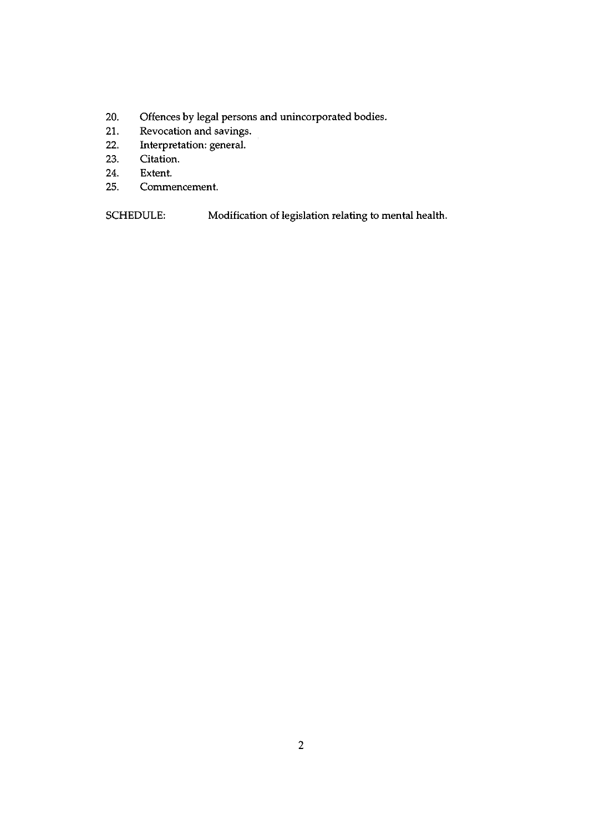- 20. Offences by legal persons and unincorporated bodies.
- 21. Revocation and savings.
- 22. Interpretation: general.
- 23. Citation.
- 24. Extent.
- 25. Commencement.

SCHEDULE: Modification of legislation relating to mental health.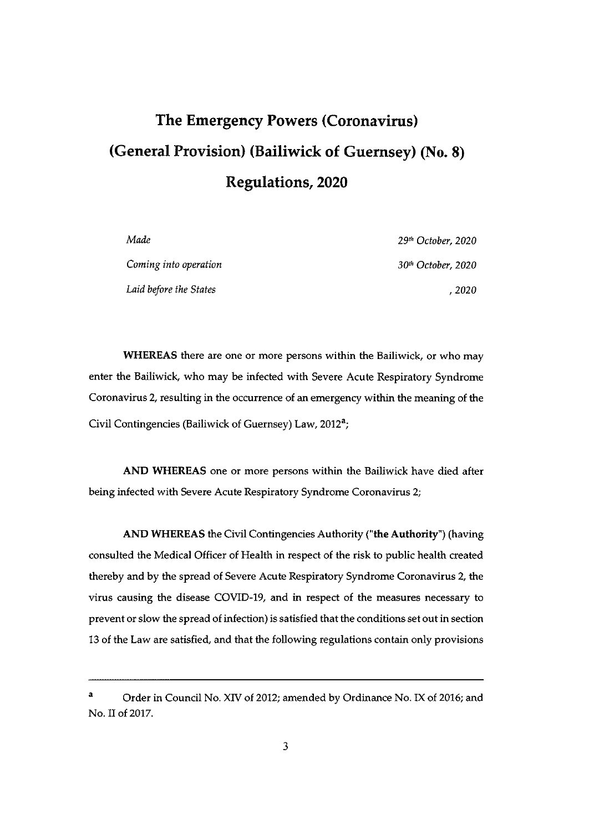# The Emergency Powers (Coronavirus) (General Provision) (Bailiwick of Guernsey) (No. 8) Regulations, 2020

| Made                   | 29 <sup>th</sup> October, 2020 |
|------------------------|--------------------------------|
| Coming into operation  | 30 <sup>th</sup> October, 2020 |
| Laid before the States | . 2020                         |

WHEREAS there are one or more persons within the Bailiwick, or who may enter the Bailiwick, who may be infected with Severe Acute Respiratory Syndrome Coronavirus 2, resulting in the occurrence of an emergency within the meaning of the Civil Contingencies (Bailiwick of Guernsey) Law, 2012<sup>a</sup>;

AND WHEREAS one or more persons within the Bailiwick have died after being infected with Severe Acute Respiratory Syndrome Coronavirus 2;

AND WHEREAS the Civil Contingencies Authority ("the Authority") (having consulted the Medical Officer of Health in respect of the risk to public health created thereby and by the spread of Severe Acute Respiratory Syndrome Coronavirus 2, the virus causing the disease COVID-19, and in respect of the measures necessary to prevent or slow the spread of infection) is satisfied that the conditions set out in section 13 of the Law are satisfied, and that the following regulations contain only provisions

<sup>&</sup>lt;sup>a</sup> Order in Council No. XIV of 2012; amended by Ordinance No. IX of 2016; and No. II of 2017.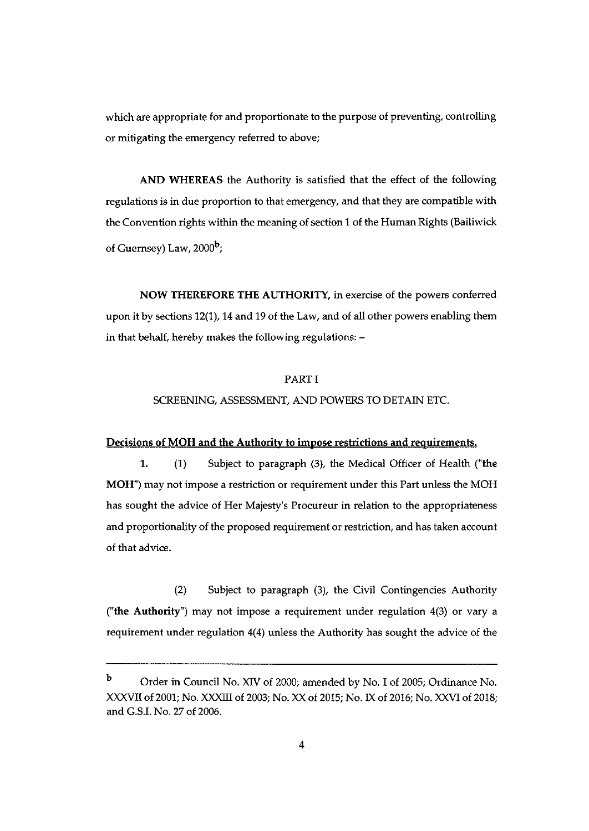which are appropriate for and proportionate to the purpose of preventing, controlling or mitigating the emergency referred to above;

AND WHEREAS the Authority is satisfied that the effect of the following regulations is in due proportion to that emergency, and that they are compatible with the Convention rights within the meaning of section <sup>1</sup> of the Human Rights (Bailiwick of Guernsey) Law,  $2000<sup>b</sup>$ ;

NOW THEREFORE THE AUTHORITY, in exercise of the powers conferred upon it by sections 12(1), 14 and 19 of the Law, and of all other powers enabling them in that behalf, hereby makes the following regulations: —

#### PART I

#### SCREENING, ASSESSMENT, AND POWERS TO DETAIN ETC.

#### Decisions of MOH and the Authority to impose restrictions and requirements.

1. (1) Subject to paragraph (3), the Medical Officer of Health ("the MOH") may not impose a restriction or requirement under this Part unless the MOH has sought the advice of Her Majesty's Procureur in relation to the appropriateness and proportionality of the proposed requirement or restriction, and has taken account of that advice.

(2) Subject to paragraph (3), the Civil Contingencies Authority ("the Authority") may not impose a requirement under regulation 4(3) or vary a requirement under regulation 4(4) unless the Authority has sought the advice of the

b Order in Council No. XIV of 2000; amended by No. I of 2005; Ordinance No. XXXVII of 2001; No. XXXIII of 2003; No. XX of 2015; No. IX of 2016; No. XXVI of 2018; and G.S.I. No. 27 of 2006.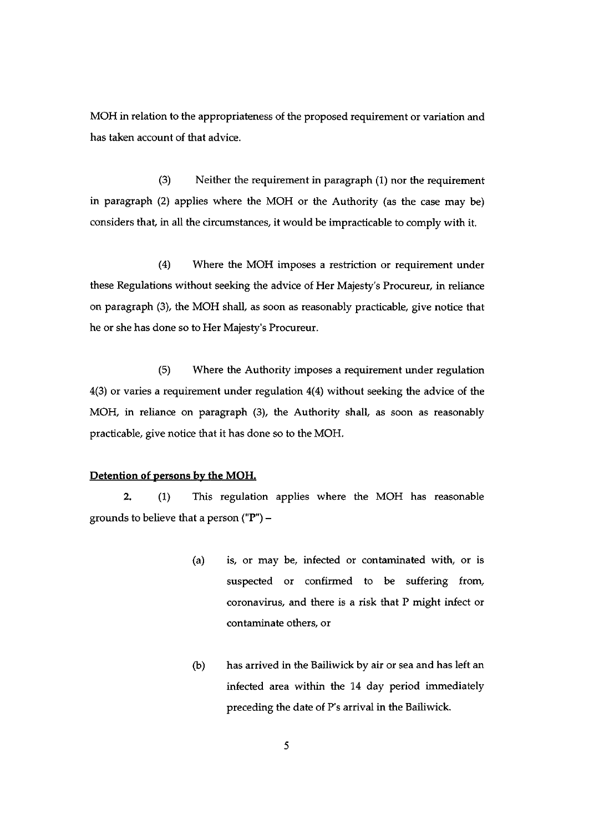MOH in relation to the appropriateness of the proposed requirement or variation and has taken account of that advice.

(3) Neither the requirement in paragraph (1) nor the requirement in paragraph (2) applies where the MOH or the Authority (as the case may be) considers that, in all the circumstances, it would be impracticable to comply with it.

(4) Where the MOH imposes a restriction or requirement under these Regulations without seeking the advice of Her Majesty's Procureur, in reliance on paragraph (3), the MOH shall, as soon as reasonably practicable, give notice that he or she has done so to Her Majesty's Procureur.

(5) Where the Authority imposes a requirement under regulation 4(3) or varies a requirement under regulation 4(4) without seeking the advice of the MOH, in reliance on paragraph (3), the Authority shall, as soon as reasonably practicable, give notice that it has done so to the MOH.

## Detention of persons by the MOH.

2. (1) This regulation applies where the MOH has reasonable grounds to believe that a person ("P") —

- (a) is, or may be, infected or contaminated with, or is suspected or confirmed to be suffering from, coronavirus, and there is a risk that P might infect or contaminate others, or
- (b) has arrived in the Bailiwick by air or sea and has left an infected area within the 14 day period immediately preceding the date of P's arrival in the Bailiwick.

5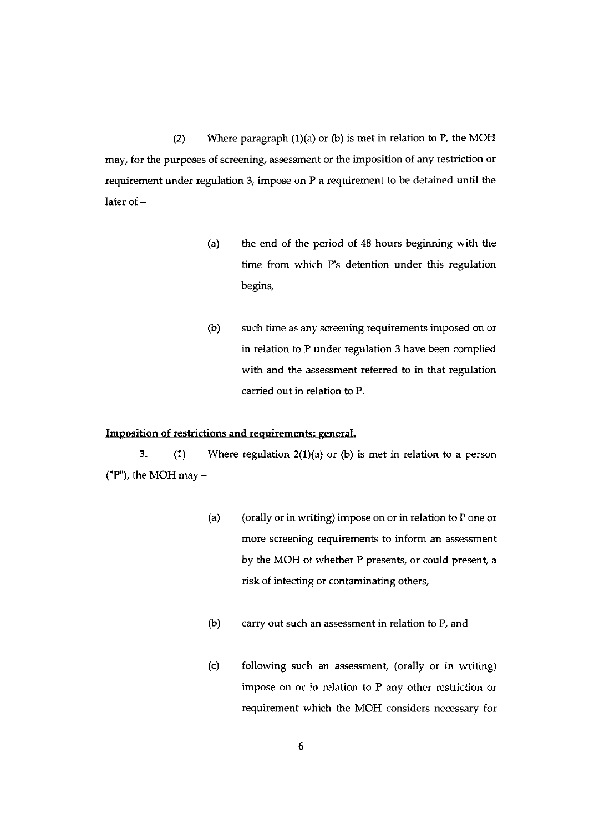(2) Where paragraph  $(1)(a)$  or (b) is met in relation to P, the MOH may, for the purposes of screening, assessment or the imposition of any restriction or requirement under regulation 3, impose on P a requirement to be detained until the later of—

- (a) the end of the period of 48 hours beginning with the time from which P's detention under this regulation begins,
- (b) such time as any screening requirements imposed on or in relation to P under regulation 3 have been complied with and the assessment referred to in that regulation carried out in relation to P.

#### Imposition of restrictions and requirements: general.

3. (1) Where regulation 2(1)(a) or (b) is met in relation to a person ("P"), the MOH may  $-$ 

- (a) (orally or in writing) impose on or in relation to P one or more screening requirements to inform an assessment by the MOH of whether P presents, or could present, a risk of infecting or contaminating others,
- (b) carry out such an assessment in relation to P, and
- (c) following such an assessment, (orally or in writing) impose on or in relation to P any other restriction or requirement which the MOH considers necessary for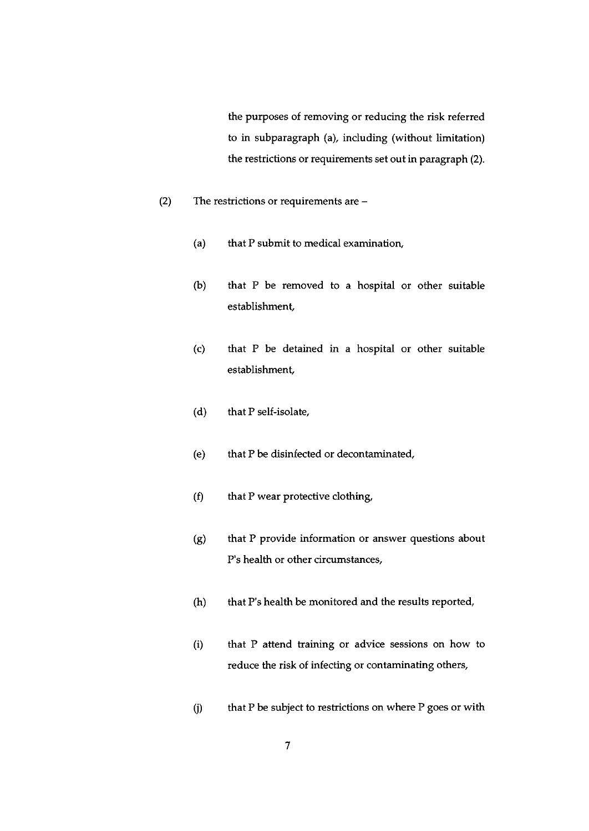the purposes of removing or reducing the risk referred to in subparagraph (a), including (without limitation) the restrictions or requirements set out in paragraph (2).

- (2) The restrictions or requirements are
	- (a) that P submit to medical examination,
	- (b) that P be removed to a hospital or other suitable establishment,
	- (c) that P be detained in a hospital or other suitable establishment,
	- (d) that P self-isolate,
	- (e) that P be disinfected or decontaminated,
	- (f) that P wear protective clothing,
	- (g) that P provide information or answer questions about P's health or other circumstances,
	- (h) that P's health be monitored and the results reported,
	- (i) that P attend training or advice sessions on how to reduce the risk of infecting or contaminating others,
	- $(i)$  that P be subject to restrictions on where P goes or with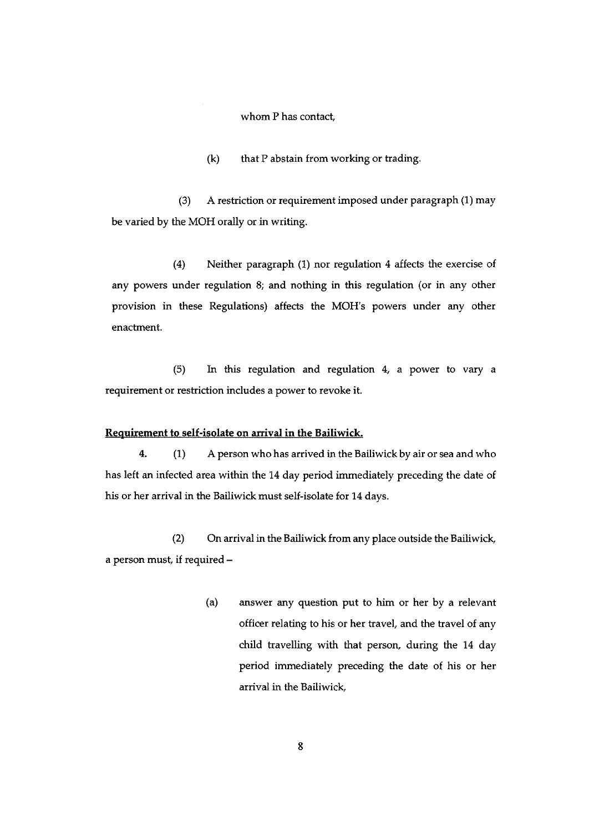whom P has contact,

(k) that P abstain from working or trading.

(3) A restriction or requirement imposed under paragraph (1) may be varied by the MOH orally or in writing.

(4) Neither paragraph (1) nor regulation 4 affects the exercise of any powers under regulation 8; and nothing in this regulation (or in any other provision in these Regulations) affects the MOH's powers under any other enactment.

(5) In this regulation and regulation 4, a power to vary a requirement or restriction includes a power to revoke it.

#### Requirement to self-isolate on arrival in the Bailiwick.

4. (1) A person who has arrived in the Bailiwick by air or sea and who has left an infected area within the 14 day period immediately preceding the date of his or her arrival in the Bailiwick must self-isolate for 14 days.

(2) On arrival in the Bailiwick from any place outside the Bailiwick, a person must, if required -

> (a) answer any question put to him or her by a relevant officer relating to his or her travel, and the travel of any child travelling with that person, during the 14 day period immediately preceding the date of his or her arrival in the Bailiwick,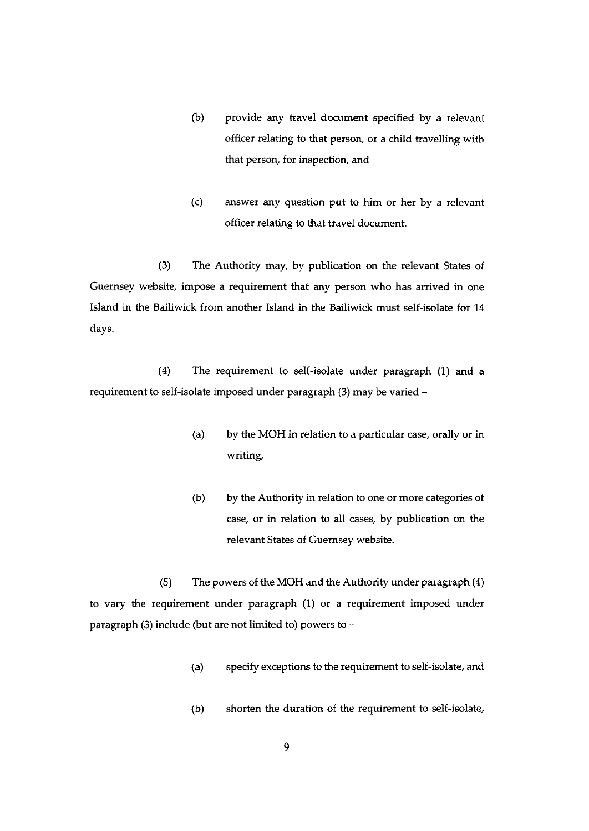- (b) provide any travel document specified by a relevant officer relating to that person, or a child travelling with that person, for inspection, and
- (c) answer any question put to him or her by a relevant officer relating to that travel document.

(3) The Authority may, by publication on the relevant States of Guernsey website, impose a requirement that any person who has arrived in one Island in the Bailiwick from another Island in the Bailiwick must self-isolate for 14 days.

(4) The requirement to self-isolate under paragraph (1) and a requirement to self-isolate imposed under paragraph (3) may be varied —

- (a) by the MOH in relation to a particular case, orally or in writing,
- (b) by the Authority in relation to one or more categories of case, or in relation to all cases, by publication on the relevant States of Guernsey website.

(5) The powers of the MOH and the Authority under paragraph (4) to vary the requirement under paragraph (1) or a requirement imposed under paragraph (3) include (but are not limited to) powers to —

- (a) specify exceptions to the requirement to self-isolate, and
- (b) shorten the duration of the requirement to self-isolate,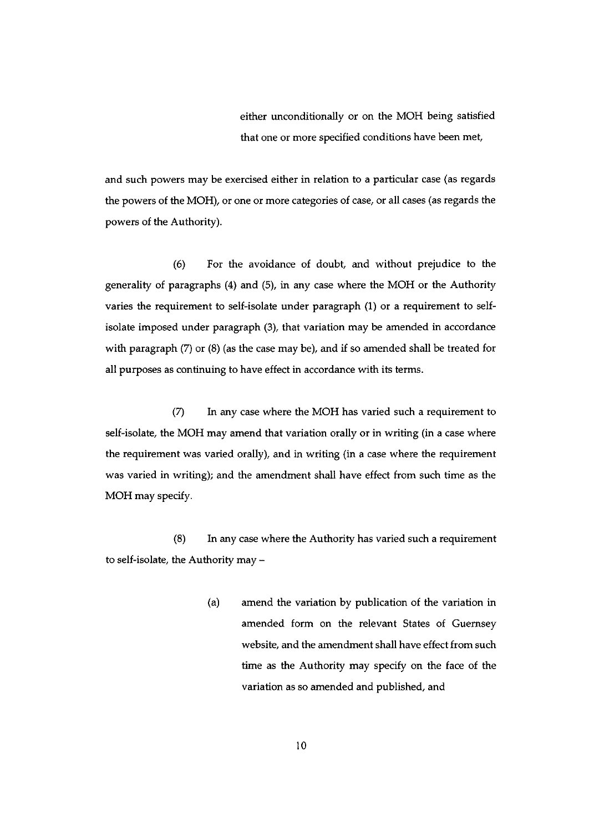either unconditionally or on the MOH being satisfied that one or more specified conditions have been met

and such powers may be exercised either in relation to a particular case (as regards the powers of the MOH), or one or more categories of case, or all cases (as regards the powers of the Authority).

(6) For the avoidance of doubt, and without prejudice to the generality of paragraphs (4) and (5), in any case where the MOH or the Authority varies the requirement to self-isolate under paragraph (1) or a requirement to selfisolate imposed under paragraph (3), that variation may be amended in accordance with paragraph (7) or (8) (as the case may be), and if so amended shall be treated for all purposes as continuing to have effect in accordance with its terms.

(7) In any case where the MOH has varied such a requirement to self-isolate, the MOH may amend that variation orally or in writing (in a case where the requirement was varied orally), and in writing (in a case where the requirement was varied in writing); and the amendment shall have effect from such time as the MOH may specify.

(8) In any case where the Authority has varied such a requirement to self-isolate, the Authority may —

> (a) amend the variation by publication of the variation in amended form on the relevant States of Guernsey website, and the amendment shall have effect from such time as the Authority may specify on the face of the variation as so amended and published, and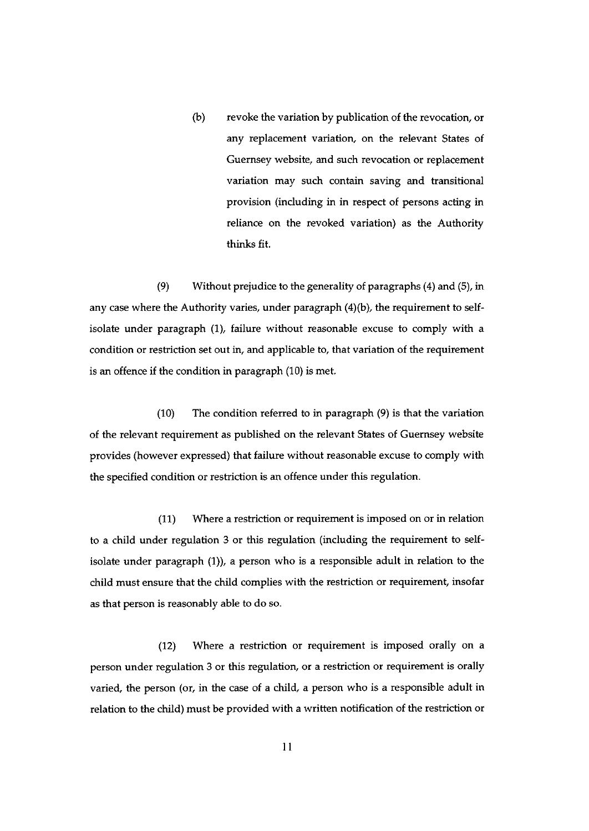(b) revoke the variation by publication of the revocation, or any replacement variation, on the relevant States of Guernsey website, and such revocation or replacement variation may such contain saving and transitional provision (including in in respect of persons acting in reliance on the revoked variation) as the Authority thinks fit.

(9) Without prejudice to the generality of paragraphs (4) and (5), in any case where the Authority varies, under paragraph (4)(b), the requirement to selfisolate under paragraph (1), failure without reasonable excuse to comply with a condition or restriction set out in, and applicable to, that variation of the requirement is an offence if the condition in paragraph (10) is met.

(10) The condition referred to in paragraph (9) is that the variation of the relevant requirement as published on the relevant States of Guernsey website provides (however expressed) that failure without reasonable excuse to comply with the specified condition or restriction is an offence under this regulation.

(11) Where a restriction or requirement is imposed on or in relation to a child under regulation <sup>3</sup> or this regulation (including the requirement to selfisolate under paragraph (1)), a person who is a responsible adult in relation to the child must ensure that the child complies with the restriction or requirement, insofar as that person is reasonably able to do so.

(12) Where a restriction or requirement is imposed orally on a person under regulation <sup>3</sup> or this regulation, or <sup>a</sup> restriction or requirement is orally varied, the person (or, in the case of <sup>a</sup> child, <sup>a</sup> person who is a responsible adult in relation to the child) must be provided with a written notification of the restriction or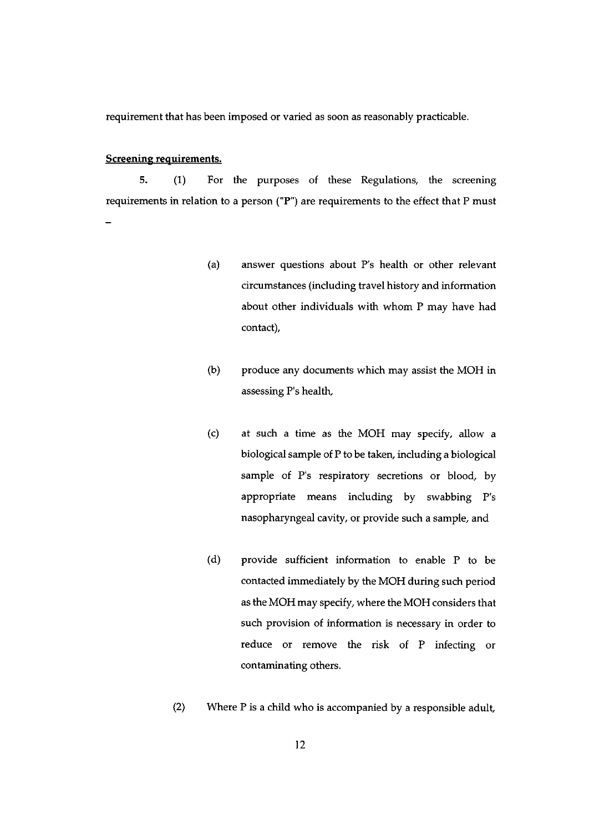requirement that has been imposed or varied as soon as reasonably practicable.

#### Screening requirements.

5, (1) For the purposes of these Regulations, the screening requirements in relation to a person ("F') are requirements to the effect that P must

- (a) answer questions about P's health or other relevant circumstances (including travel history and information about other individuals with whom P may have had contact),
- (b) produce any documents which may assist the MOH in assessing P's health,
- (c) at such a time as the MOH may specify, allow a biological sample of P to be taken, including a biological sample of P's respiratory secretions or blood, by appropriate means including by swabbing P's nasopharyngeal cavity, or provide such a sample, and
- (d) provide sufficient information to enable P to be contacted immediately by the MOH during such period as the MOH may specify, where the MOH considers that such provision of information is necessary in order to reduce or remove the risk of P infecting or contaminating others.
- (2) Where P is <sup>a</sup> child who is accompanied by <sup>a</sup> responsible adult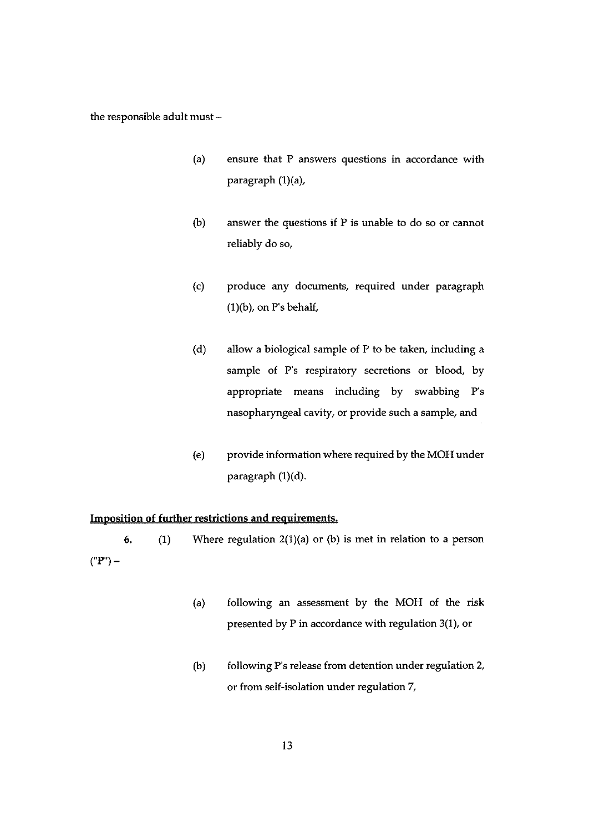the responsible adult must —

- (a) ensure that P answers questions in accordance with paragraph  $(1)(a)$ ,
- (b) answer the questions if P is unable to do so or cannot reliably do so,
- (c) produce any documents, required under paragraph  $(1)(b)$ , on P's behalf,
- (d) allow a biological sample of P to be taken, including a sample of P's respiratory secretions or blood, by appropriate means including by swabbing P's nasopharyngeal cavity, or provide such a sample, and
- (e) provide information where required by the MOH under paragraph (1)(d).

#### Imposition of further restrictions and requirements.

6. (1) Where regulation  $2(1)(a)$  or (b) is met in relation to a person  $("P") -$ 

- (a) following an assessment by the MOH of the risk presented by P in accordance with regulation 3(1), or
- (b) following P's release from detention under regulation 2, or from self-isolation under regulation 7,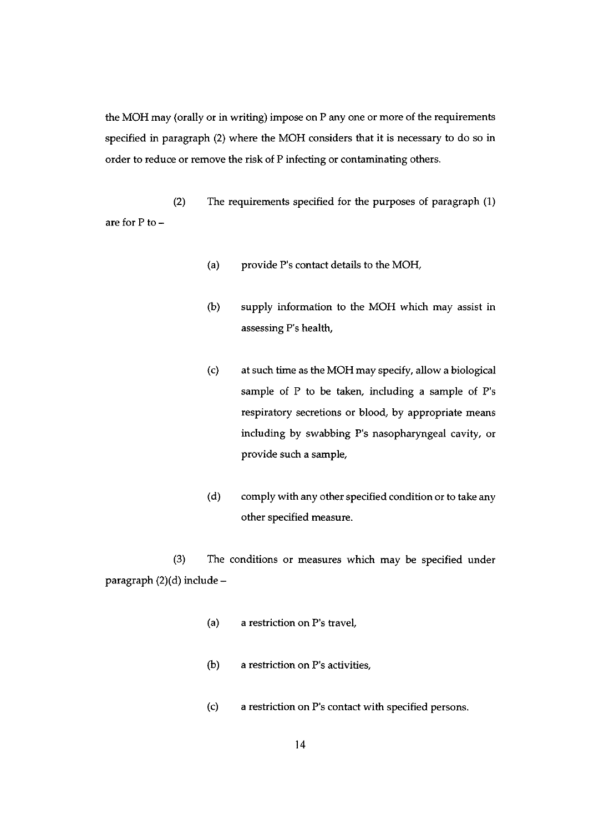the MOH may (orally or in writing) impose on P any one or more of the requirements specified in paragraph (2) where the MOH considers that it is necessary to do so in order to reduce or remove the risk of P infecting or contaminating others.

(2) The requirements specified for the purposes of paragraph (1) are for P to —

- (a) provide P's contact details to the MOH,
- (b) supply information to the MOH which may assist in assessing P's health,
- (c) at such time as the MOH may specify, allow a biological sample of P to be taken, including a sample of P's respiratory secretions or blood, by appropriate means including by swabbing P's nasopharyngeal cavity, or provide such a sample,
- (d) comply with any other specified condition or to take any other specified measure.

(3) The conditions or measures which may be specified under paragraph (2)(d) include —

- (a) a restriction on P's travel,
- (b) a restriction on P's activities,
- (c) a restriction on P's contact with specified persons.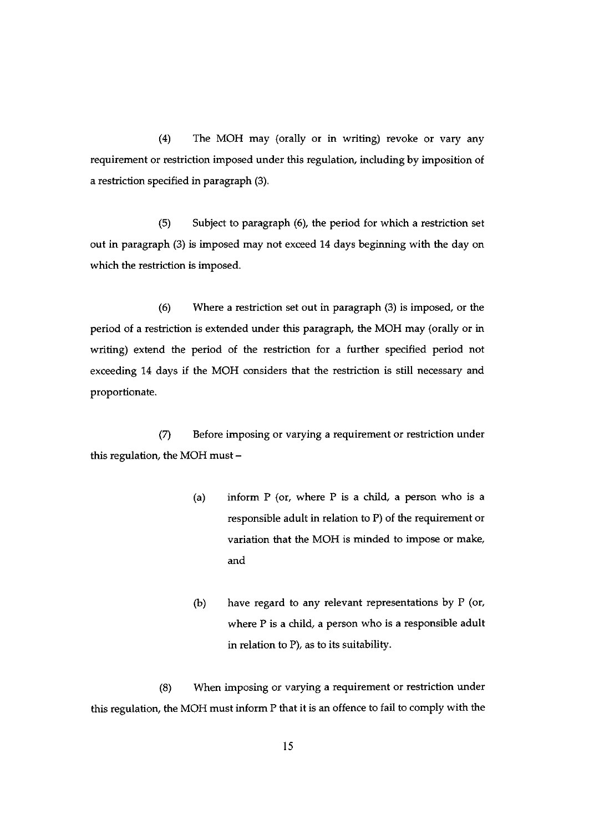(4) The MOH may (orally or in writing) revoke or vary any requirement or restriction imposed under this regulation, including by imposition of a restriction specified in paragraph (3).

(5) Subject to paragraph (6), the period for which a restriction set out in paragraph (3) is imposed may not exceed 14 days beginning with the day on which the restriction is imposed.

(6) Where a restriction set out in paragraph (3) is imposed, or the period of a restriction is extended under this paragraph, the MOH may (orally or in writing) extend the period of the restriction for a further specified period not exceeding 14 days if the MOH considers that the restriction is still necessary and proportionate.

(7) Before imposing or varying a requirement or restriction under this regulation, the MOH must —

- (a) inform  $P$  (or, where  $P$  is a child, a person who is a responsible adult in relation to P) of the requirement or variation that the MOH is minded to impose or make, and
- (b) have regard to any relevant representations by P (or, where P is a child, a person who is a responsible adult in relation to P), as to its suitability.

(8) When imposing or varying a requirement or restriction under this regulation, the MOH must inform P that it is an offence to fail to comply with the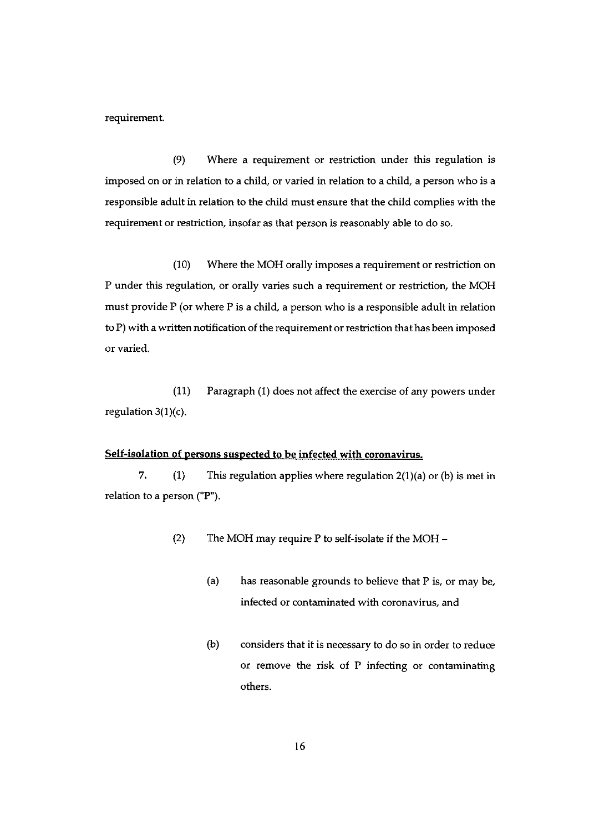requirement.

(9) Where a requirement or restriction under this regulation is imposed on or in relation to a child, or varied in relation to a child, a person who is a responsible adult in relation to the child must ensure that the child complies with the requirement or restriction, insofar as that person is reasonably able to do so.

(10) Where the MOH orally imposes a requirement or restriction on P under this regulation, or orally varies such a requirement or restriction, the MOH must provide P (or where P is a child, a person who is a responsible adult in relation to F) with a written notification of the requirement or restriction that has been imposed or varied.

(11) Paragraph (1) does not affect the exercise of any powers under regulation 3(1)(c).

## Self-isolation of persons suspected to be infected with coronavirus.

7.  $(1)$  This regulation applies where regulation  $2(1)(a)$  or  $(b)$  is met in relation to a person (" $P$ ").

- (2) The MOH may require P to self-isolate if the MOH
	- (a) has reasonable grounds to believe that P is, or may be, infected or contaminated with coronavirus, and
	- (b) considers that it is necessary to do so in order to reduce or remove the risk of P infecting or contaminating others.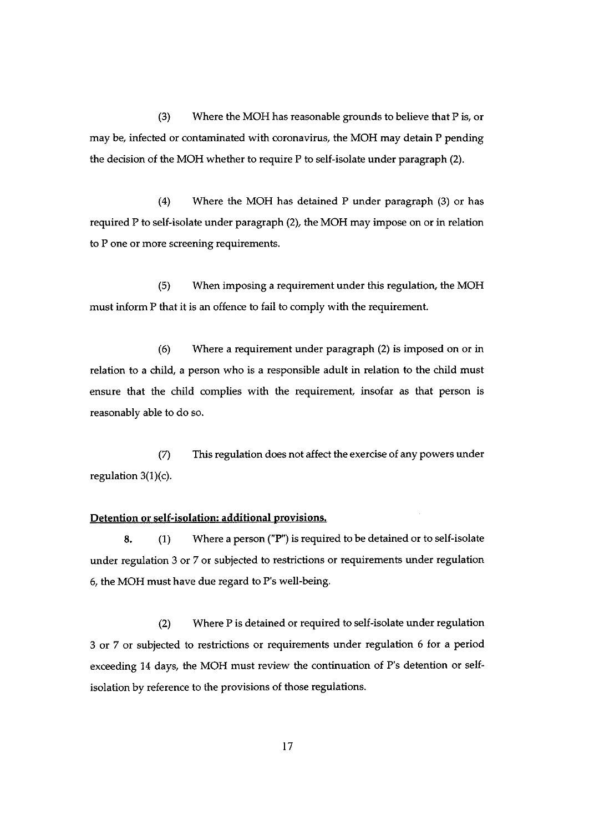(3) Where the MOH has reasonable grounds to believe that P is, or may be, infected or contaminated with coronavirus, the MOR may detain P pending the decision of the MOH whether to require  $P$  to self-isolate under paragraph (2).

(4) Where the MOH has detained P under paragraph (3) or has required P to self-isolate under paragraph (2), the MOH may impose on or in relation to P one or more screening requirements.

(5) When imposing a requirement under this regulation, the MON must inform P that it is an offence to fail to comply with the requirement.

(6) Where a requirement under paragraph (2) is imposed on or in relation to a child, a person who is a responsible adult in relation to the child must ensure that the child complies with the requirement, insofar as that person is reasonably able to do so.

(7) This regulation does not affect the exercise of any powers under regulation 3(1)(c).

#### Detention or self-isolation: additional provisions.

8. (1) Where a person ("P") is required to be detained or to self-isolate under regulation 3 or 7 or subjected to restrictions or requirements under regulation 6, the MOH must have due regard to P's well-being.

(2) Where P is detained or required to self-isolate under regulation 3 or 7 or subjected to restrictions or requirements under regulation 6 for a period exceeding <sup>14</sup> days, the MOH must review the continuation of P's detention or self isolation by reference to the provisions of those regulations.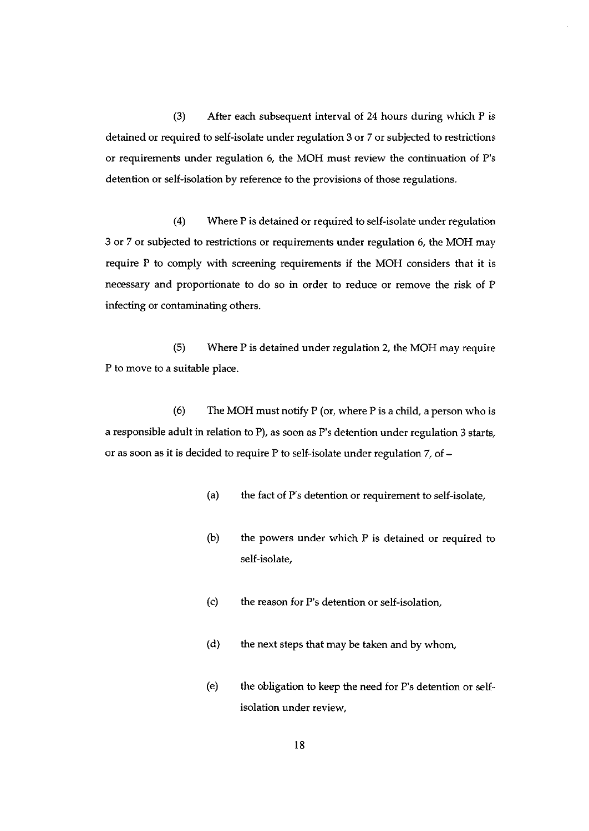(3) After each subsequent interval of 24 hours during which P is detained or required to self-isolate under regulation <sup>3</sup> or 7 or subjected to restrictions or requirements under regulation 6, the MOH must review the continuation of P's detention or self-isolation by reference to the provisions of those regulations.

(4) Where P is detained or required to self-isolate under regulation 3 or 7 or subjected to restrictions or requirements under regulation 6, the MOH may require P to comply with screening requirements if the MOH considers that it is necessary and proportionate to do so in order to reduce or remove the risk of P infecting or contaminating others.

(5) Where P is detained under regulation 2, the MOH may require P to move to a suitable place.

(6) The MOH must notify P (or, where P is a child, a person who is a responsible adult in relation to P), as soon as P's detention under regulation <sup>3</sup> starts, or as soon as it is decided to require P to self-isolate under regulation 7, of —

- (a) the fact of P's detention or requirement to self-isolate,
- (b) the powers under which P is detained or required to self-isolate,
- (c) the reason for P's detention or self-isolation,
- (d) the next steps that may be taken and by whom,
- (e) the obligation to keep the need for P's detention or self isolation under review,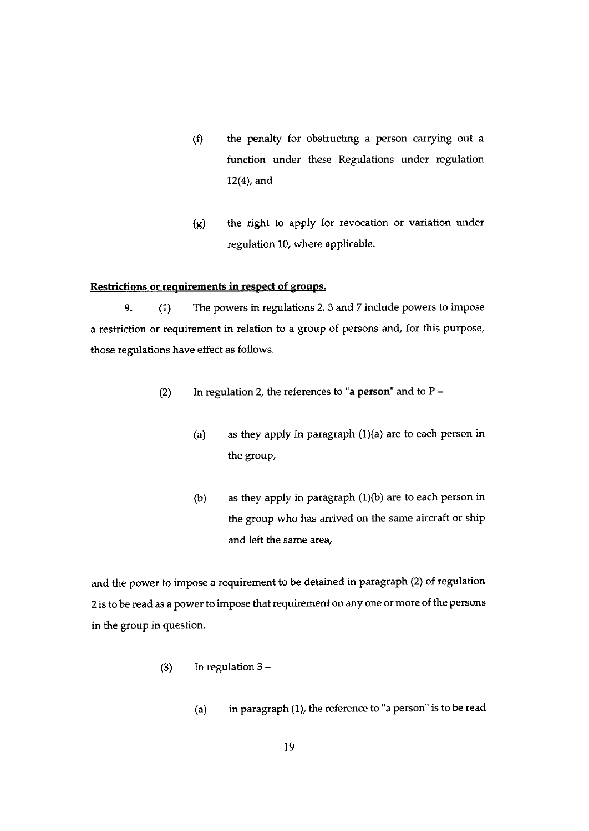- (f) the penalty for obstructing <sup>a</sup> person carrying out <sup>a</sup> function under these Regulations under regulation 12(4), and
- (g) the right to apply for revocation or variation under regulation 10, where applicable.

#### Restrictions or requirements in respect of groups.

9. (1) The powers in regulations 2, 3 and <sup>7</sup> include powers to impose <sup>a</sup> restriction or requirement in relation to <sup>a</sup> group of persons and, for this purpose, those regulations have effect as follows.

- (2) In regulation 2, the references to "a person" and to  $P -$ 
	- (a) as they apply in paragraph  $(1)(a)$  are to each person in the group,
	- (b) as they apply in paragraph  $(1)(b)$  are to each person in the group who has arrived on the same aircraft or ship and left the same area,

and the power to impose <sup>a</sup> requirement to be detained in paragrap<sup>h</sup> (2) of regulation 2 is to be read as <sup>a</sup> power to impose that requirement on any one or more of the persons in the group in question.

- (3) In regulation  $3 -$ 
	- (a) in paragraph  $(1)$ , the reference to "a person" is to be read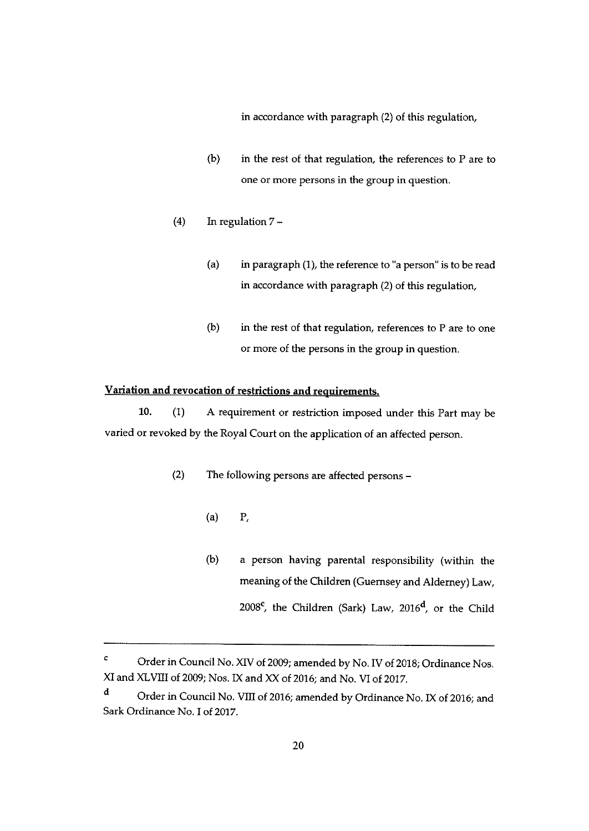in accordance with paragraph (2) of this regulation,

- (b) in the rest of that regulation, the references to <sup>P</sup> are to one or more persons in the group in question.
- (4) In regulation 7
	- (a) in paragraph (1), the reference to 'a person" is to be read in accordance with paragraph (2) of this regulation,
	- $(b)$  in the rest of that regulation, references to P are to one or more of the persons in the group in question.

# Variation and revocation of restrictions and requirements.

10. (1) <sup>A</sup> requirement or restriction imposed under this Part may be varied or revoked by the Royal Court on the application of an affected person.

- (2) The following persons are affected persons
	- (a) P,
	- (b) <sup>a</sup> person having parental responsibility (within the meaning of the Children (Guernsey and Alderney) Law, 2008<sup>c</sup>, the Children (Sark) Law, 2016<sup>d</sup>, or the Child

<sup>&</sup>lt;sup>c</sup> Order in Council No. XIV of 2009; amended by No. IV of 2018; Ordinance Nos. XI and XLVIII of 2009; Nos. IX and XX of 2016; and No. VI of 2017.

d Order in Council No. VIII of 2016; amended by Ordinance No. IX of 2016; and Sark Ordinance No. I of 2017.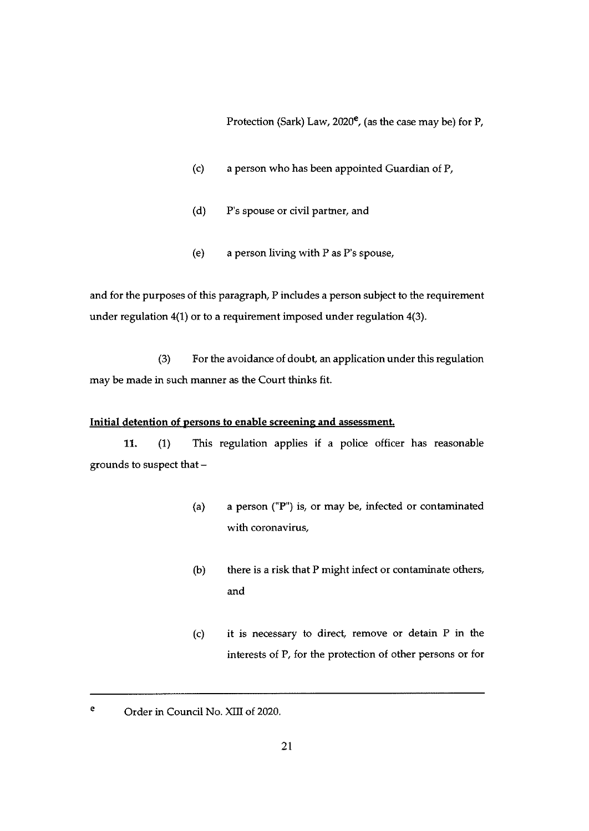Protection (Sark) Law,  $2020^{\circ}$ , (as the case may be) for P,

- (c) a person who has been appointed Guardian of F,
- (d) P's spouse or civil partner, and
- (e) a person living with P as P's spouse,

and for the purposes of this paragraph, P includes a person subject to the requirement under regulation 4(1) or to a requirement imposed under regulation 4(3).

(3) For the avoidance of doubt, an application under this regulation may be made in such manner as the Court thinks fit.

#### Initial detention of persons to enable screenine and assessment.

11. (1) This regulation applies if a police officer has reasonable grounds to suspect that —

- (a) a person ("P") is, or may be, infected or contaminated with coronavirus,
- (b) there is a risk that P might infect or contaminate others, and
- (c) it is necessary to direct, remove or detain P in the interests of P, for the protection of other persons or for

<sup>&</sup>lt;sup>e</sup> Order in Council No. XIII of 2020.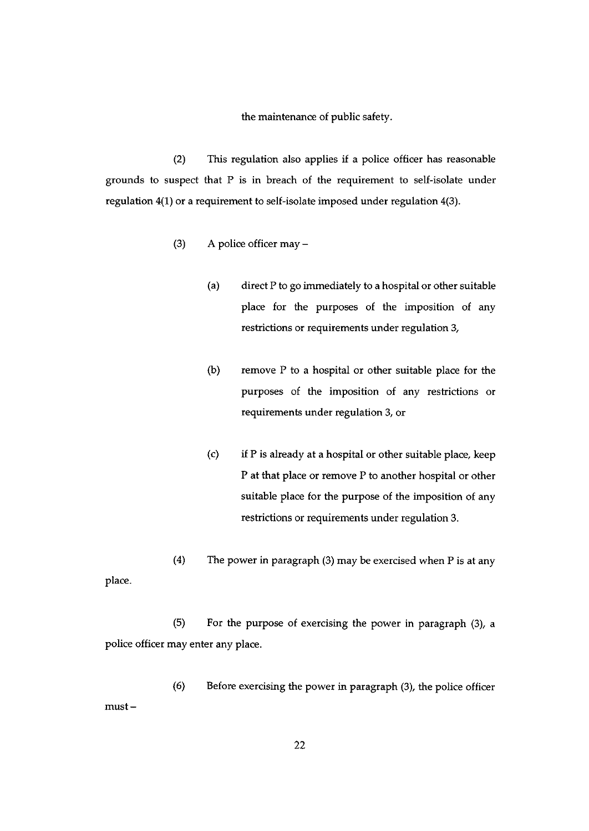#### the maintenance of public safety.

(2) This regulation also applies if a police officer has reasonable grounds to suspect that P is in breach of the requirement to self-isolate under regulation 4(1) or a requirement to self-isolate imposed under regulation 4(3).

- (3) A police officer may
	- (a) direct P to go immediately to a hospital or other suitable place for the purposes of the imposition of any restrictions or requirements under regulation 3,
	- (b) remove P to a hospital or other suitable place for the purposes of the imposition of any restrictions or requirements under regulation 3, or
	- (c) if P is already at a hospital or other suitable place, keep P at that place or remove P to another hospital or other suitable place for the purpose of the imposition of any restrictions or requirements under regulation 3.

(4) The power in paragraph (3) may be exercised when P is at any place.

(5) For the purpose of exercising the power in paragraph (3), a police officer may enter any place.

(6) Before exercising the power in paragraph (3), the police officer must —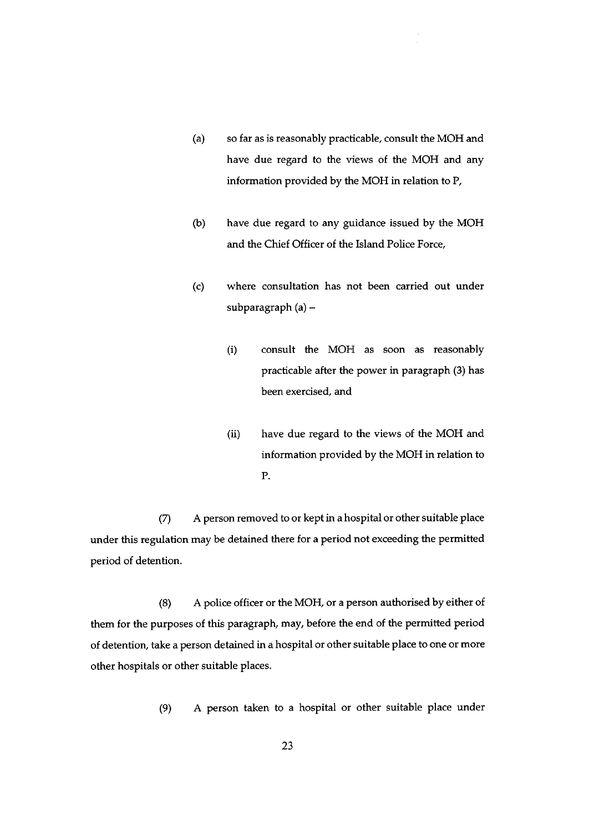- (a) so far as is reasonably practicable, consult the MOH and have due regard to the views of the MOH and any information provided by the MOH in relation to P.
- (b) have due regard to any guidance issued by the MOH and the Chief Officer of the Island Police Force,
- (c) where consultation has not been carried out under subparagraph (a) —
	- (i) consult the MOH as soon as reasonably practicable after the power in paragraph (3) has been exercised, and
	- (ii) have due regard to the views of the MOH and information provided by the MOH in relation to P.

(7) A person removed to or kept in a hospital or other suitable place under this regulation may be detained there for a period not exceeding the permitted period of detention.

(8) A police officer or the MOH, or a person authorised by either of them for the purposes of this paragraph, may, before the end of the permitted period of detention, take a person detained in a hospital or other suitable place to one or more other hospitals or other suitable places.

(9) A person taken to a hospital or other suitable place under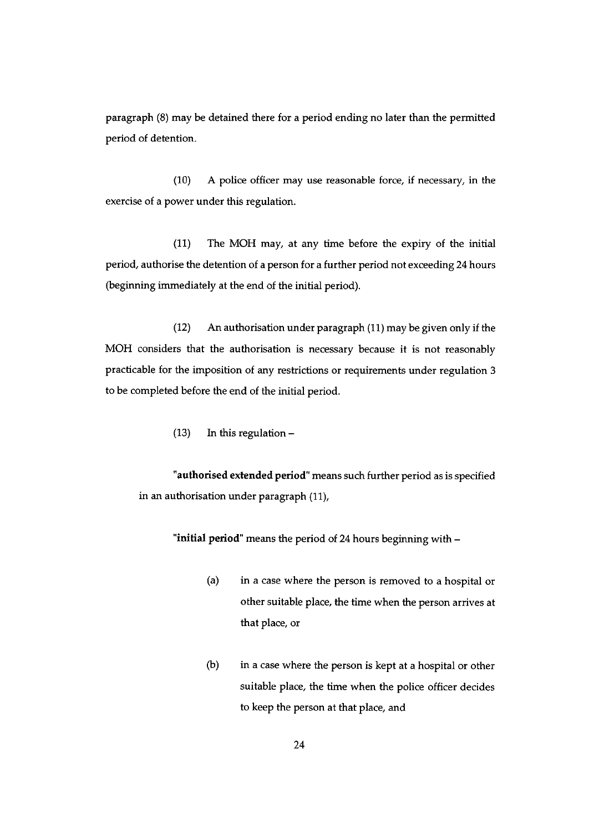paragraph (8) may be detained there for a period ending no later than the permitted period of detention.

(10) A police officer may use reasonable force, if necessary, in the exercise of a power under this regulation.

(11) The MOH may, at any time before the expiry of the initial period, authorise the detention of a person for a further period not exceeding 24 hours (beginning immediately at the end of the initial period).

(12) An authorisation under paragraph (11) may be given only if the MOH considers that the authorisation is necessary because it is not reasonably practicable for the imposition of any restrictions or requirements under regulation <sup>3</sup> to be completed before the end of the initial period.

(13) In this regulation —

"authorised extended period" means such further period as is specified in an authorisation under paragraph (11),

"initial period' means the period of 24 hours beginning with —

- (a) in a case where the person is removed to a hospital or other suitable place, the time when the person arrives at that place, or
- (b) in a case where the person is kept at a hospital or other suitable place, the time when the police officer decides to keep the person at that place, and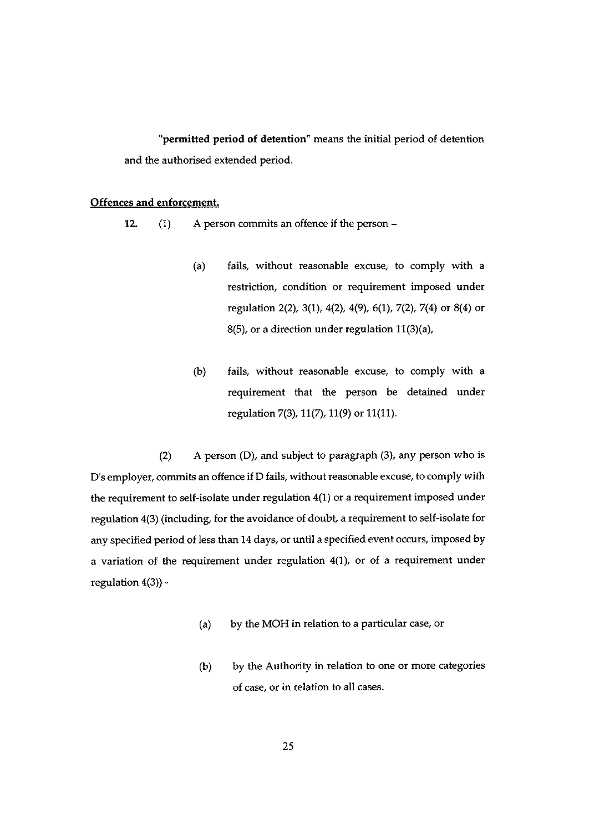"permifted period of detention" means the initial period of detention and the authorised extended period.

#### Offences and enforcement

12. (1) A person commits an offence if the person —

- (a) fails, without reasonable excuse, to comply with a restriction, condition or requirement imposed under regulation 2(2), 3(1), 4(2), 4(9), 6(1), 7(2), 7(4) or 8(4) or 8(5), or a direction under regulation 11(3)(a),
- (b) fails, without reasonable excuse, to comply with a requirement that the person be detained under regulation 7(3), 21(7), 11(9) or 11(11).

(2) A person (D), and subject to paragraph (3), any person who is D's employer, commits an offence if D fails, without reasonable excuse, to comply with the requirement to self-isolate under regulation 4(1) or a requirement imposed under regulation 4(3) (including, for the avoidance of doubt, a requirement to self-isolate for any specified period of less than 14 days, or until a specified event occurs, imposed by a variation of the requirement under regulation 4(1), or of a requirement under regulation 4(3)) -

- (a) by the MOH in relation to a particular case, or
- (b) by the Authority in relation to one or more categories of case, or in relation to all cases.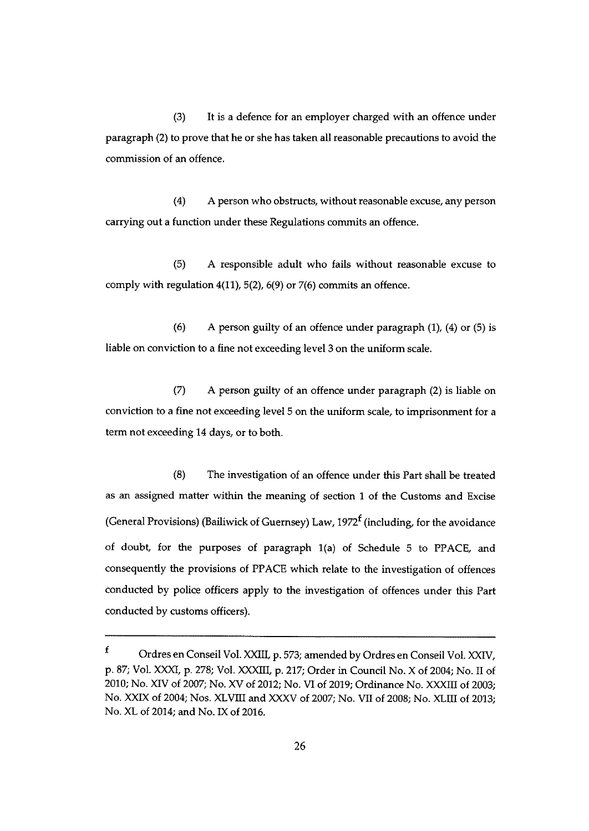(3) It is a defence for an employer charged with an offence under paragraph (2) to prove that he or she has taken all reasonable precautions to avoid the commission of an offence.

(4) A person who obstructs, without reasonable excuse, any person carrying out a function under these Regulations commits an offence.

(5) A responsible adult who fails without reasonable excuse to comply with regulation 4(11), 5(2), 6(9) or 7(6) commits an offence.

(6) A person guilty of an offence under paragraph  $(1)$ ,  $(4)$  or  $(5)$  is liable on conviction to a fine not exceeding level 3 on the uniform scale.

(7) A person guilty of an offence under paragraph (2) is liable on conviction to a fine not exceeding level 5 on the uniform scale, to imprisonment for a term not exceeding 14 days, or to both.

(8) The investigation of an offence under this Part shall be treated as an assigned matter within the meaning of section <sup>1</sup> of the Customs and Excise (General Provisions) (Bailiwick of Guernsey) Law, 1972<sup>f</sup> (including, for the avoidance of doubt, for the purposes of paragraph 1(a) of Schedule <sup>5</sup> to PPACE, and consequently the provisions of PPACE which relate to the investigation of offences conducted by police officers apply to the investigation of offences under this Part conducted by customs officers).

 $\mathbf f$ Ordres en Conseil Vol. XXIII, p. 573; amended by Ordres en Conseil Vol. XXIV, p. 87; Vol. XXXI, p. 278; Vol. XXXIII, p. 217; Order in Council No. X of 2004; No. II of 2010; No. XIV of 2007; No. XV of 2012; No. VI of 2019; Ordinance No. XXXIII of 2003; No. XXIX of 2004; Nos. XLVIII and XXXV of 2007; No. VII of 2008; No. XLIII of 2013; No. XL of 2014; and No. IX of 2016.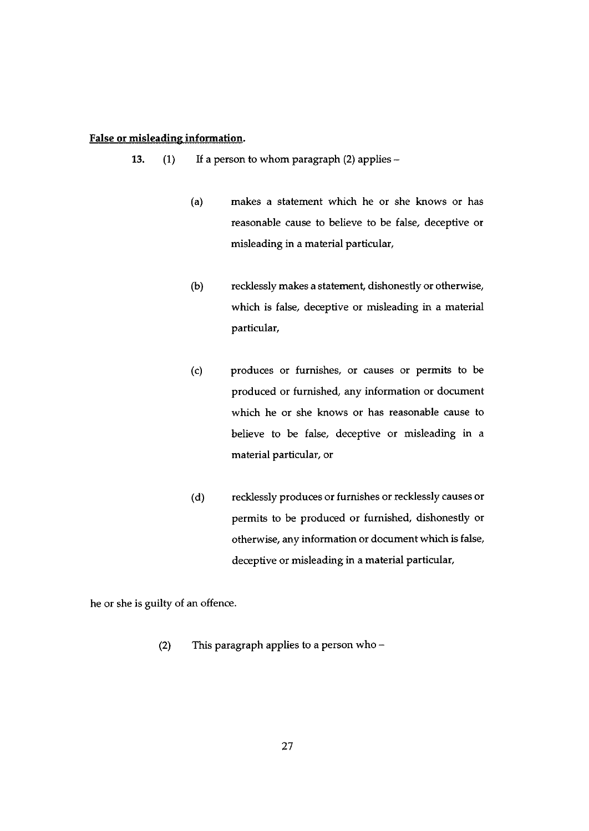### False or misleading information.

- 13. (1) If a person to whom paragraph (2) applies
	- (a) makes a statement which he or she knows or has reasonable cause to believe to be false, deceptive or misleading in a material particular,
	- (b) recklessly makes a statement, dishonestly or otherwise, which is false, deceptive or misleading in a material particular,
	- (c) produces or furnishes, or causes or permits to be produced or furnished, any information or document which he or she knows or has reasonable cause to believe to be false, deceptive or misleading in a material particular, or
	- (d) recklessly produces or furnishes or recklessly causes or permits to be produced or furnished, dishonestly or otherwise, any information or document which is false, deceptive or misleading in a material particular,

he or she is guilty of an offence.

(2) This paragraph applies to a person who —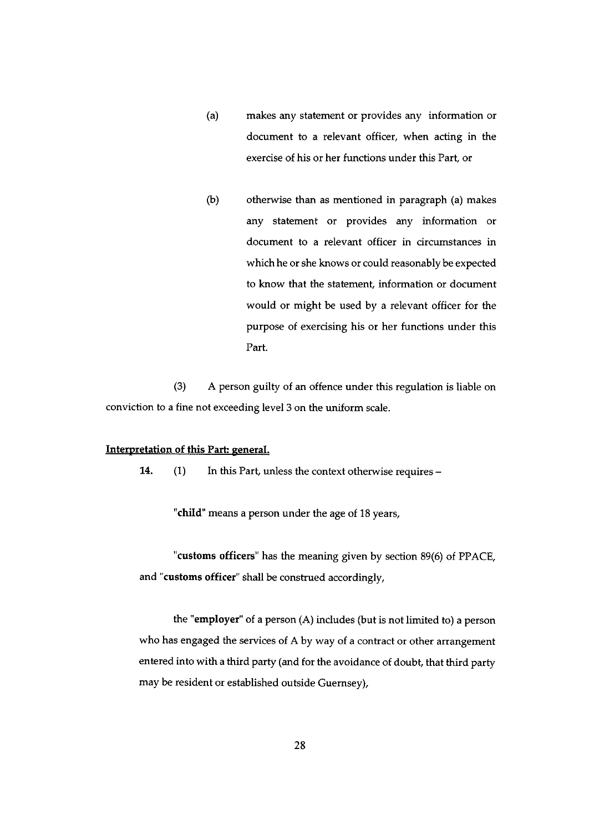- (a) makes any statement or provides any information or document to a relevant officer, when acting in the exercise of his or her functions under this Part, or
- (b) otherwise than as mentioned in paragraph (a) makes any statement or provides any information or document to a relevant officer in circumstances in which he or she knows or could reasonably be expected to know that the statement, information or document would or might be used by a relevant officer for the purpose of exercising his or her functions under this Part.

(3) A person guilty of an offence under this regulation is liable on conviction to a fine not exceeding level <sup>3</sup> on the uniform scale.

#### Interpretation of this Part: general.

14.  $(1)$  In this Part, unless the context otherwise requires –

"child" means a person under the age of 18 years,

"customs officers" has the meaning given by section 89(6) of PPACE, and "customs officer" shall be construed accordingly,

the "employer' of <sup>a</sup> person (A) includes (but is not limited to) <sup>a</sup> person who has engaged the services of A by way of a contract or other arrangement entered into with a third party (and for the avoidance of doubt, that third party may be resident or established outside Guernsey),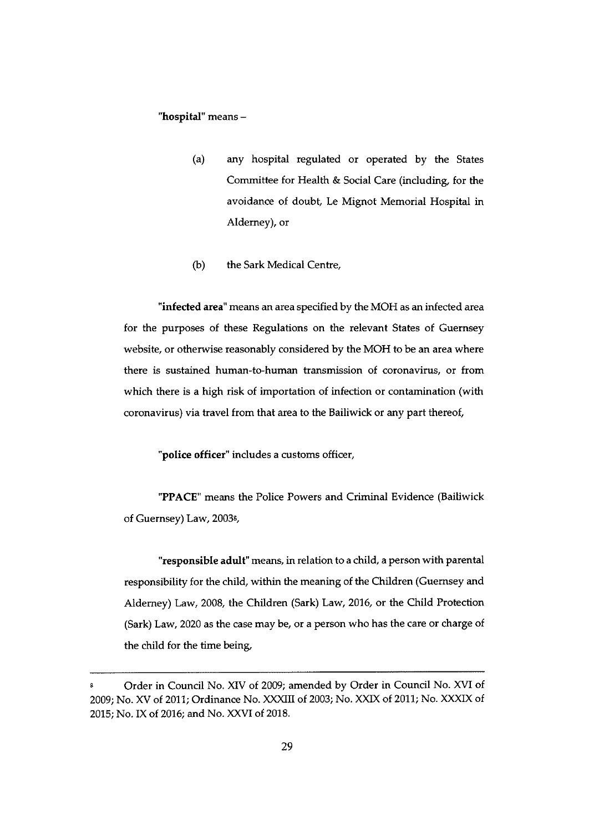#### "hospital" means —

- (a) any hospital regulated or operated by the States Committee for Health & Social Care (including, for the avoidance of doubt, Le Mignot Memorial Hospital in Alderney), or
- (b) the Sark Medical Centre,

"infected area" means an area specified by the MOH as an infected area for the purposes of these Regulations on the relevant States of Guernsey website, or otherwise reasonably considered by the MOH to be an area where there is sustained human-to-human transmission of coronavirus, or from which there is a high risk of importation of infection or contamination (with coronavirus) via travel from that area to the Bailiwick or any part thereof,

"police officer" includes a customs officer,

"PPACE" means the Police Powers and Criminal Evidence (Bailiwick of Guernsey) Law, 2003<sup>g</sup>,

"responsible adult" means, in relation to a child, a person with parental responsibility for the child, within the meaning of the Children (Guernsey and Alderney) Law, 2008, the Children (Sark) Law, 2016, or the Child Protection (Sark) Law, 2020 as the case may be, or a person who has the care or charge of the child for the time being,

Order in Council No. XIV of 2009; amended by Order in Council No. XVI of 2009; No. XV of 2011; Ordinance No. XXXIII of 2003; No. XXIX of 2011; No. XXXIX of 2015; No. IX of 2016; and No. XXVI of 2018.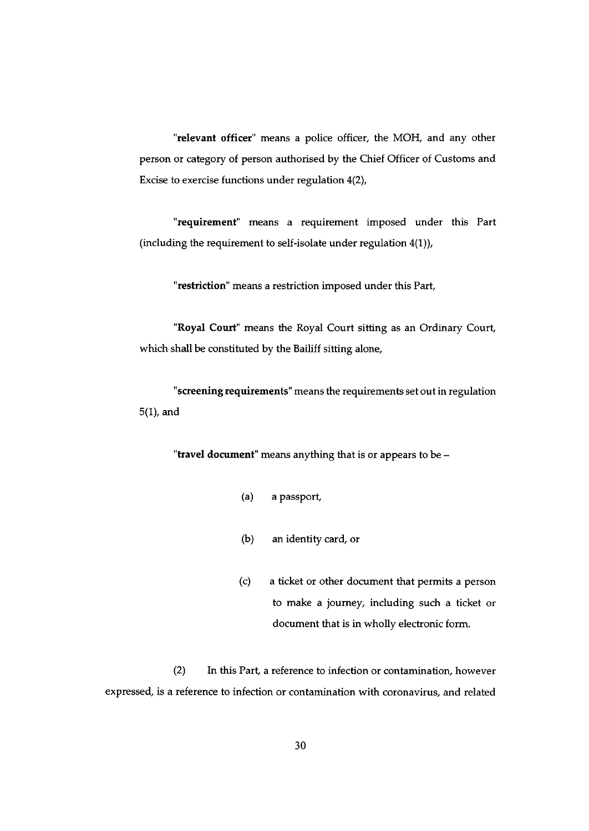"relevant officer" means a police officer, the MOH, and any other person or category of person authorised by the Chief Officer of Customs and Excise to exercise functions under regulation 4(2),

'requirement" means a requirement imposed under this Part (including the requirement to self-isolate under regulation 4(1)),

"restriction" means a restriction imposed under this Part,

"Royal Court" means the Royal Court sitting as an Ordinary Court, which shall be constituted by the Bailiff sitting alone,

"screening requirements" means the requirements set out in regulation  $5(1)$ , and

"travel document" means anything that is or appears to be  $-$ 

- (a) a passport
- (b) an identity card, or
- (c) a ticket or other document that permits a person to make a journey, including such a ticket or document that is in wholly electronic form.

(2) In this Part, a reference to infection or contamination, however expressed, is a reference to infection or contamination with coronavirus, and related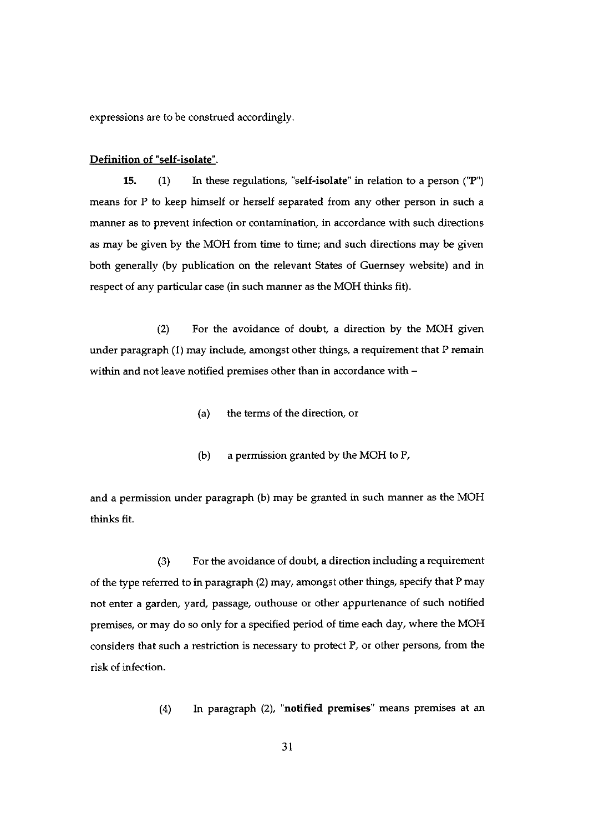expressions are to be construed accordingly.

#### Definition of "self-isolate".

15. (1) In these regulations, "self-isolate" in relation to a person ("P") means for P to keep himself or herself separated from any other person in such a manner as to prevent infection or contamination, in accordance with such directions as may be given by the MOH from time to time; and such directions may be given both generally (by publication on the relevant States of Guernsey website) and in respect of any particular case (in such manner as the MOH thinks fit).

(2) For the avoidance of doubt, a direction by the MOH given under paragraph (1) may include, amongst other things, a requirement that P remain within and not leave notified premises other than in accordance with —

- (a) the terms of the direction, or
- (b) a permission granted by the MOH to P.

and a permission under paragraph (b) may be granted in such manner as the MOH thinks fit.

 $(3)$  For the avoidance of doubt, a direction including a requirement of the type referred to in paragraph (2) may, amongst other things, specify that P may not enter a garden, yard, passage, outhouse or other appurtenance of such notified premises, or may do so only for a specified period of time each day, where the MOH considers that such a restriction is necessary to protect P. or other persons, from the risk of infection.

(4) In paragraph (2), "notified premises" means premises at an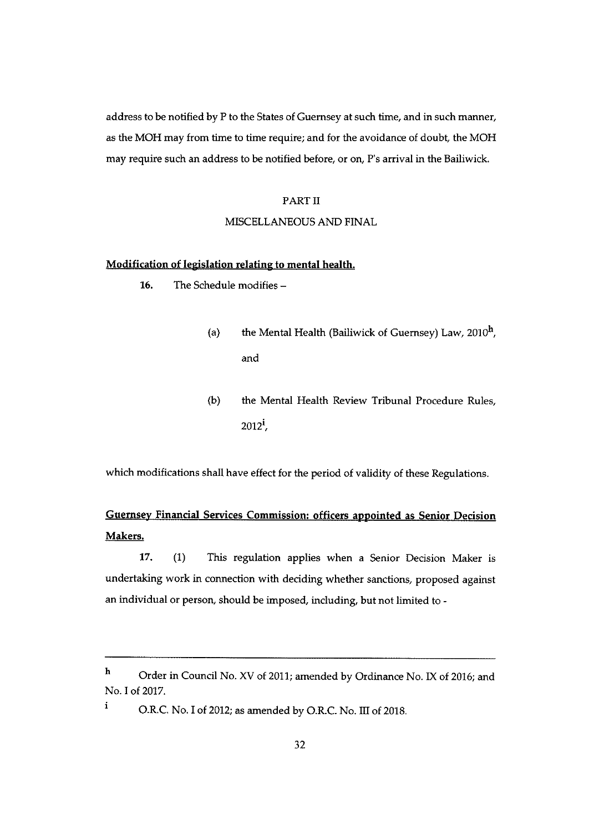address to be notified by P to the States of Guernsey at such time, and in such manner, as the MOH may from time to time require; and for the avoidance of doubt, the MOH may require such an address to be notified before, or on, P's arrival in the Bailiwick.

#### PART II

#### MISCELLANEOUS AND FINAL

#### Modification of legislation relating to mental health.

- 16. The Schedule modifies
	- (a) the Mental Health (Bailiwick of Guernsey) Law,  $2010<sup>h</sup>$ , and
	- (b) the Mental Health Review Tribunal Procedure Rules, 2012',

which modifications shall have effect for the period of validity of these Regulations.

# Guernsey Financial Services Commission: officers appointed as Senior Decision Makers.

17. (1) This regulation applies when a Senior Decision Maker is undertaking work in connection with deciding whether sanctions, proposed against an individual or person, should be imposed, including, but not limited to -

i

<sup>h</sup> Order in Council No. XV of 2011; amended by Ordinance No. IX of 2016; and No.1 of 2017.

O.R.C. No.1 of 2012; as amended by O.R.C. No. III of 2018.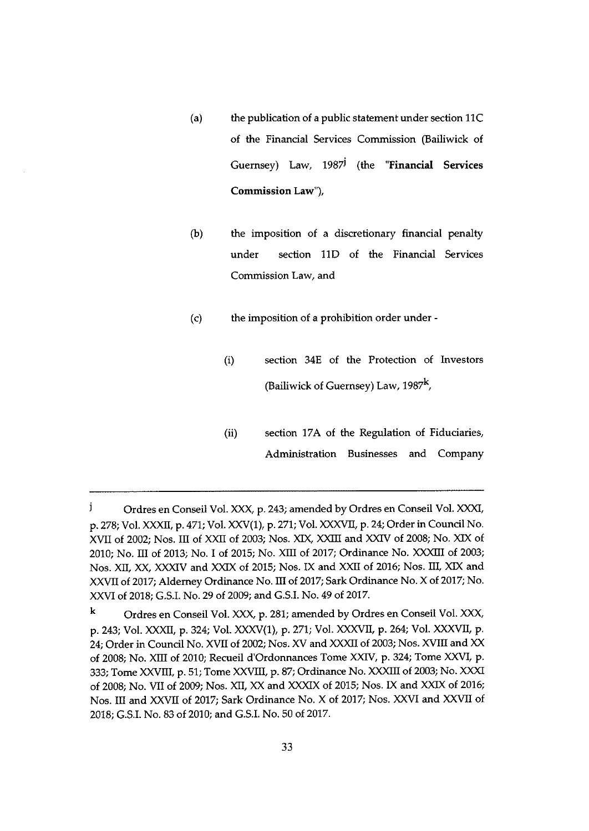- (a) the publication of a public statement under section 1IC of the Financial Services Commission (Bailiwick of Guernsey) Law, 1987<sup>j</sup> (the "Financial Services Commission Law"),
- (b) the imposition of a discretionary financial penalty under section 110 of the Financial Services Commission Law, and
- (c) the imposition of a prohibition order under
	- (i) section 34E of the Protection of Investors (Bailiwick of Guernsey) Law,  $1987<sup>k</sup>$ ,
	- (ii) section 17A of the Regulation of Fiduciaries, Administration Businesses and Company

j Ordres en Conseil Vol. XXX, p. 243; amended by Ordres en Conseil Vol. XXXI, p.278; Vol. XXXII, p.471; Vol. XXV(1), p.271; Vol. XXXVII, p. 24; Order in Council No. XVII of 2002; Nos. ifi of XXII of 2003; Nos. XIX, XXIII and XXIV of 2008; No. XIX of 2010; No. ifi of 2013; No. <sup>I</sup> of 2015; No. XIII of 2017; Ordinance No. XXXIII of 2003; Nos. XII, XX, XXXIV and XXIX of 2015; Nos. IX and XXII of 2016; Nos. III, XIX and XXVII of 2017; Aldemey Ordinance No. ifi of 2017; Sark Ordinance No. X of 2017; No. XXVI of 2018; G.S.I. No. 29 of 2009; and G.S.I. No.49 of 2017.

k Ordres en Conseil Vol. XXX, p. 281; amended by Ordres en Conseil Vol. XXX, p. 243; Vol. XXXII, p. 324; Vol. XXXVU), p. 271; Vol. XXXVII, p. 264; Vol. XXXVII, p. 24; Order in Council No. XVII of 2002; Nos. XV and XXXII of 2003; Nos. XVIII and XX of 2008; No. XIII of 2010; Recueil d'Ordonnances Tome XXIV, p. 324; Tome XXVI, p. 333; Tome XXVIII, p. 51; Tome XXVIII, p. 87; Ordinance No. XXXIII of 2003; No. XXXI of 2008; No. VII of 2009; Nos. XII, XX and XXXIX of 2015; Nos. IX and XXIX of 2016; Nos. III and XXVII of 2017; Sark Ordinance No. <sup>X</sup> of 2017; Nos. XXVI and XXVII of 2018; G.S.I. No. 83 of 2010; and G.S.I. No. 50 of 2017.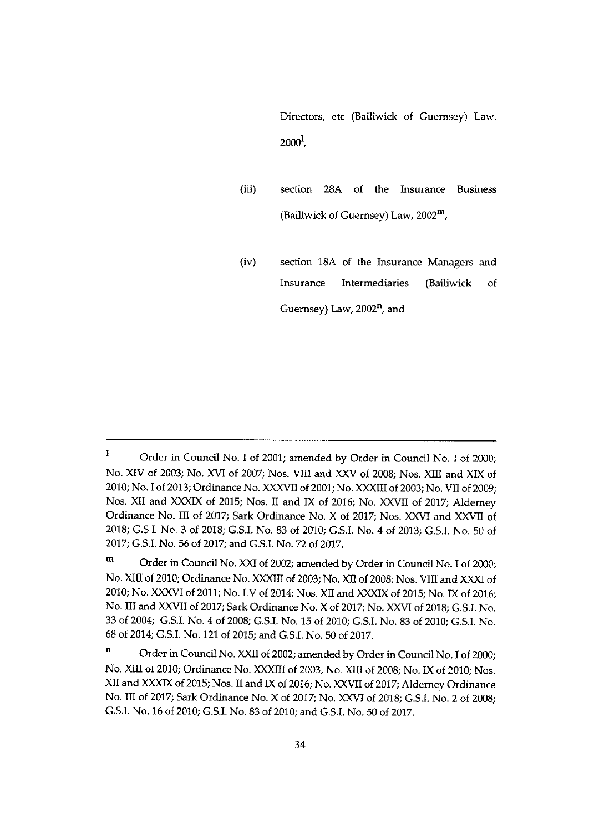Directors, etc (Bailiwick of Guernsey) Law,  $2000<sup>1</sup>$ ,

- (iii) section 28A of the Insurance Business (Bailiwick of Guernsey) Law, 2002m,
- (iv) section 18A of the Insurance Managers and Insurance Intermediaries (Bailiwick of Guernsey) Law, 2002<sup>n</sup>, and

 $\mathbf{I}$ Order in Council No. <sup>I</sup> of 2001; amended by Order in Council No. <sup>I</sup> of 2000; No. XIV of 2003; No. XVI of 2007; Nos. VIII and XXV of 2008; Nos. Xffl and XIX of 2010; No. I of 2013; Ordinance No. XXXVII of 2001; No. XXXIII of 2003; No. VII of 2009; Nos. XII and XXXIX of 2015; Nos. II and IX of 2016; No. XXVII of 2017; Aldemey Ordinance No. III of 2017; Sark Ordinance No. <sup>X</sup> of 2017; Nos. XXVI and XXVII of 2018; G.S.I. No. 3 of 2018; G.S.I. No. 83 of 2010; G.S.I. No. 4 of 2013; G.SJ. No. 50 of 2017; G.S.I. No. 56 of 2017; and G.S.I. No. 72 of 2017.

m Order in Council No. XXI of 2002; amended by Order in Council No. I of 2000; No. XIII of 2010; Ordinance No. XXXIII of 2003; No. XII of 2008; Nos. VIII and XXXI of 2010; No. XXXVI of 2011; No. LV of 2014; Nos. XII and XXXIX of 2015; No. IX of 2016; No. III and XXVII of 2017; Sark Ordinance No. X of 2017; No. XXVI of 2018; G.S.I. No. 33 of 2004; G.S.I. No. <sup>4</sup> of 2008; G.S.I. No. 15 of 2010; G.S.I. No. 83 of 2010; G,S.I. No. 68 of 2014; G.S.I. No. 121 of 2015; and G.S.I. No.50 of 2017.

 $\mathbf n$ Order in Council No. XXII of 2002; amended by Order in Council No. <sup>I</sup> of 2000; No. XIII of 2010; Ordinance No. XXXIII of 2003; No. XIII of 2008; No. IX of 2010; Nos. XII and XXXIX of 2015; Nos. II and IX of 2016; No. XXVII of 2017; Alderney Ordinance No. III of 2017; Sark Ordinance No. X of 2017; No. XXVI of 2018; G.S.I. No. <sup>2</sup> of 2008; G.S.I. No. 16 of 2010; G.S.I. No.83 of 2010; and G.S.J. No.50 of 2017.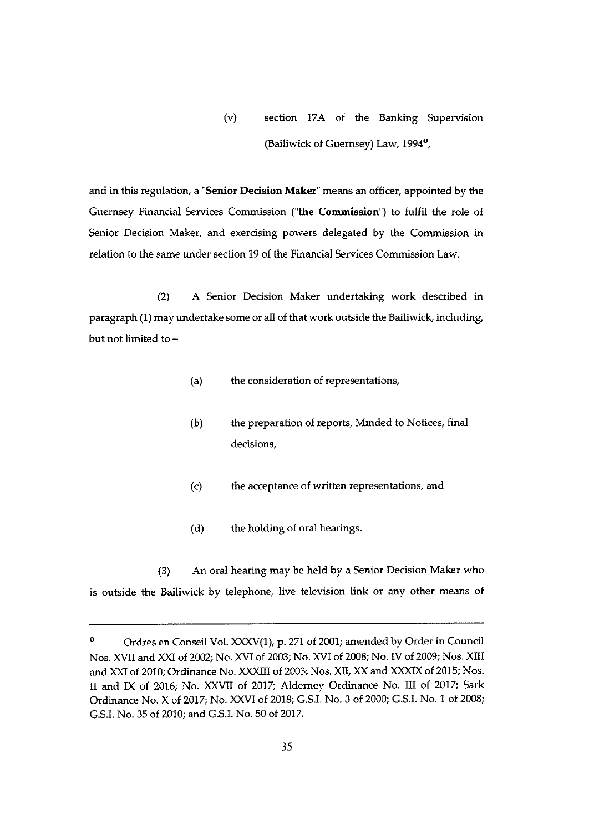(v) section 17A of the Banking Supervision (Bailiwick of Guernsey) Law, 1994°,

and in this regulation, a 'Senior Decision Maker" means an officer, appointed by the Guernsey Financial Services Commission ("the Commission") to fulfil the role of Senior Decision Maker, and exercising powers delegated by the Commission in relation to the same under section 19 of the Financial Services Commission Law.

(2) A Senior Decision Maker undertaking work described in paragraph (1) may undertake some or all of that work outside the Bailiwick, including, but not limited to —

- (a) the consideration of representations,
- (b) the preparation of reports, Minded to Notices, final decisions,
- (c) the acceptance of written representations, and
- (d) the holding of oral hearings.

(3) An oral hearing may be held by a Senior Decision Maker who is outside the Bailiwick by telephone, live television link or any other means of

<sup>°</sup> Ordres en Conseil Vol. XXXV(1), p. 271 of 2001; amended by Order in Council Nos. XVII and XXI of 2002; No. XVI of 2003; No. XVI of 2008; No. IV of 2009; Nos. XIII and XXI of 2010; Ordinance No. XXXIII of 2003; Nos. XII, XX and XXXIX of 2015; Nos. II and IX of 2016; No. XXVII of 2017; Alderney Ordinance No. III of 2017; Sark Ordinance No. X of 2017; No. XXVI of 2018; G.S.I. No. 3 of 2000; G.S.I. No. I of 2008; G.S.I. No. 35 of 2010; and G.S.I. No.50 of 2017.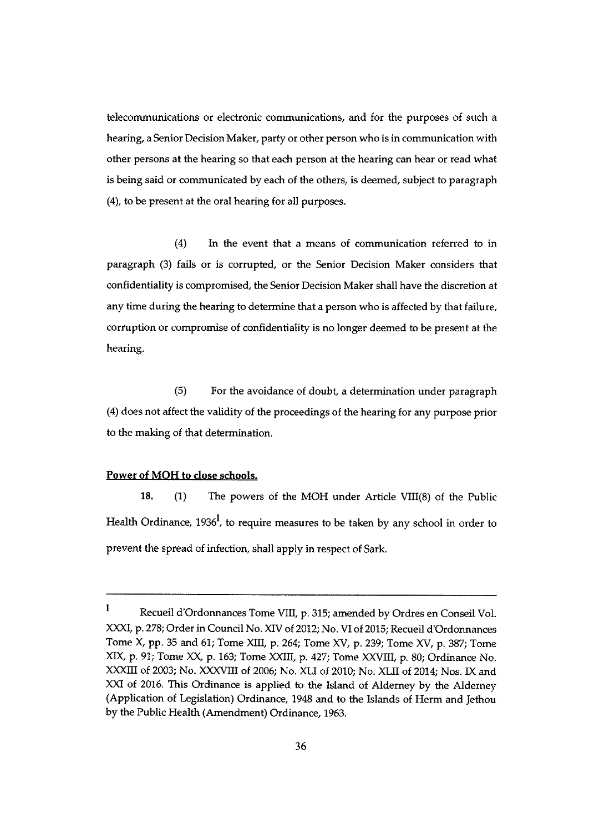telecommunications or electronic communications, and for the purposes of such a hearing, a Senior Decision Maker, party or other person who is in communication with other persons at the hearing so that each person at the hearing can hear or read what is being said or communicated by each of the others, is deemed, subject to paragraph (4), to be present at the oral hearing for all purposes.

(4) In the event that a means of communication referred to in paragraph (3) fails or is corrupted, or the Senior Decision Maker considers that confidentiality is compromised, the Senior Decision Maker shall have the discretion at any time during the hearing to determine that a person who is affected by that failure, corruption or compromise of confidentiality is no longer deemed to be present at the hearing.

(5) For the avoidance of doubt, a determination under paragraph (4) does not affect the validity of the proceedings of the hearing for any purpose prior to the making of that determination.

#### Power of MOH to dose schools.

18. (1) The powers of the MOH under Article VIII(8) of the Public Health Ordinance,  $1936<sup>1</sup>$ , to require measures to be taken by any school in order to prevent the spread of infection, shall apply in respect of Sark.

 $\mathbf{I}$ Recueil d'Ordonnances Tome VIII, p. 315; amended by Ordres en Conseil Vol. XXXI, p. 278; Order in Council No. XIV of 2012; No. VI of 2015; Recueil d'Ordonnances Tome X, pp. <sup>35</sup> and 61; Tome XIII, p. 264; Tome XV, p. 239; Tome XV, p. 387; Tome XIX, p. 91; Tome XX, p. 163; Tome XXIII, p. 427; Tome XXVIII, p. 80; Ordinance No. XXXIII of 2003; No. XXXVIII of 2006; No. XLI of 2010; No. XLII of 2014; Nos. IX and XXI of 2016. This Ordinance is applied to the Island of Alderney by the Alderney (Application of Legislation) Ordinance, 1948 and to the Islands of Herm and Jethou by the Public Health (Amendment) Ordinance, 1963.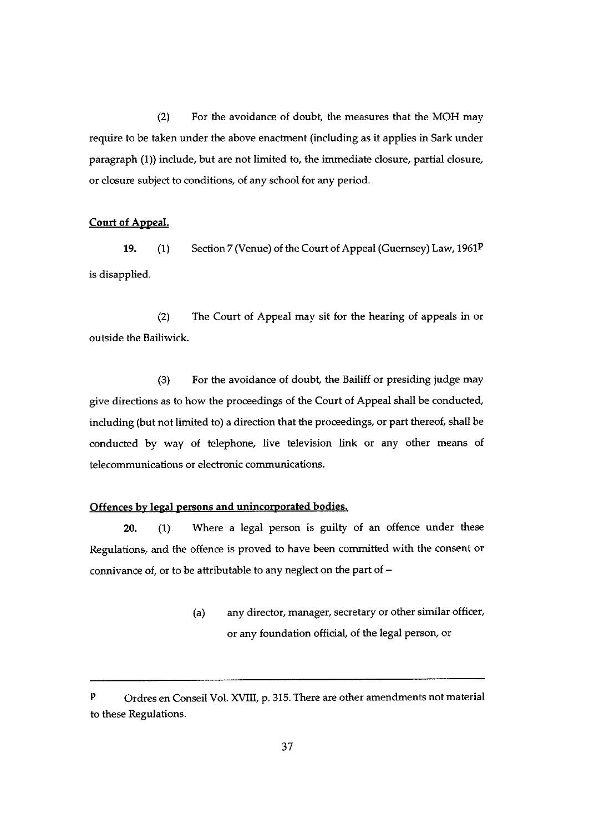$(2)$  For the avoidance of doubt, the measures that the MOH may require to be taken under the above enactment (including as it applies in Sark under paragraph (1)) include, but are not limited to, the immediate closure, partial closure, or closure subject to conditions, of any school for any period.

## Court of AppeaL

19. (1) Section 7 (Venue) of the Court of Appeal (Guernsey) Law,  $1961<sup>p</sup>$ is disapplied.

(2) The Court of Appeal may sit for the hearing of appeals in or outside the Bailiwick.

 $(3)$  For the avoidance of doubt, the Bailiff or presiding judge may give directions as to how the proceedings of the Court of Appeal shall be conducted, including (but not limited to) a direction that the proceedings, or part thereof, shall be conducted by way of telephone, live television link or any other means of telecommunications or electronic communications.

#### Offences by legal persons and unincorporated bodies.

20. (1) Where a legal person is guilty of an offence under these Regulations, and the offence is proved to have been committed with the consent or connivance of, or to be attributable to any neglect on the part of —

> (a) any director, manager, secretary or other similar officer, or any foundation official, of the legal person, or

 $P$  Ordres en Conseil Vol. XVIII, p. 315. There are other amendments not material to these Regulations.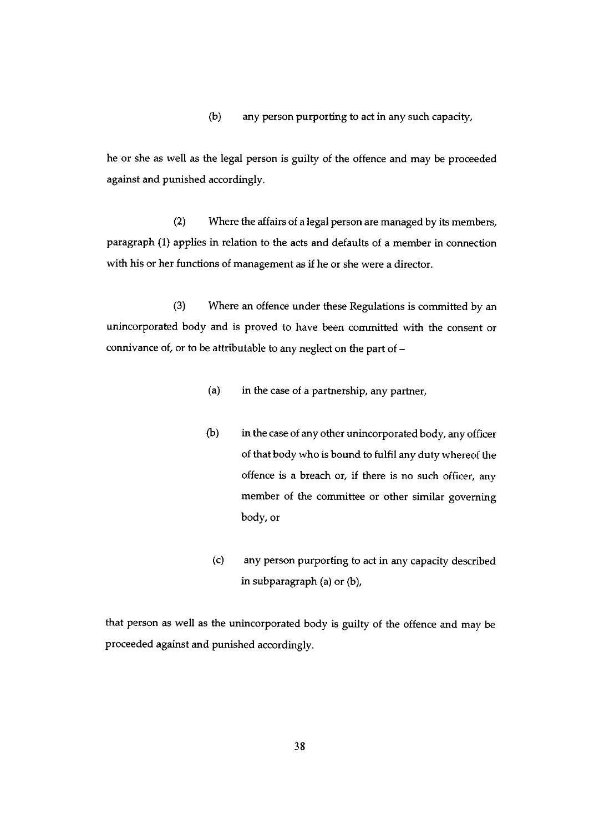(b) any person purporting to act in any such capacity,

he or she as well as the legal person is guilty of the offence and may be proceeded against and punished accordingly.

(2) Where the affairs of a legal person are managed by its members, paragraph (1) applies in relation to the acts and defaults of <sup>a</sup> member in connection with his or her functions of management as if he or she were a director.

(3) Where an offence under these Regulations is committed by an unincorporated body and is proved to have been committed with the consent or connivance of, or to be attributable to any neglect on the part of —

- (a) in the case of a partnership, any partner,
- (b) in the case of any other unincorporated body, any officer of that body who is bound to fulfil any duty whereof the offence is a breach or, if there is no such officer, any member of the committee or other similar governing body, or
- (c) any person purporting to act in any capacity described in subparagraph (a) or (b),

that person as well as the unincorporated body is guilty of the offence and may be proceeded against and punished accordingly.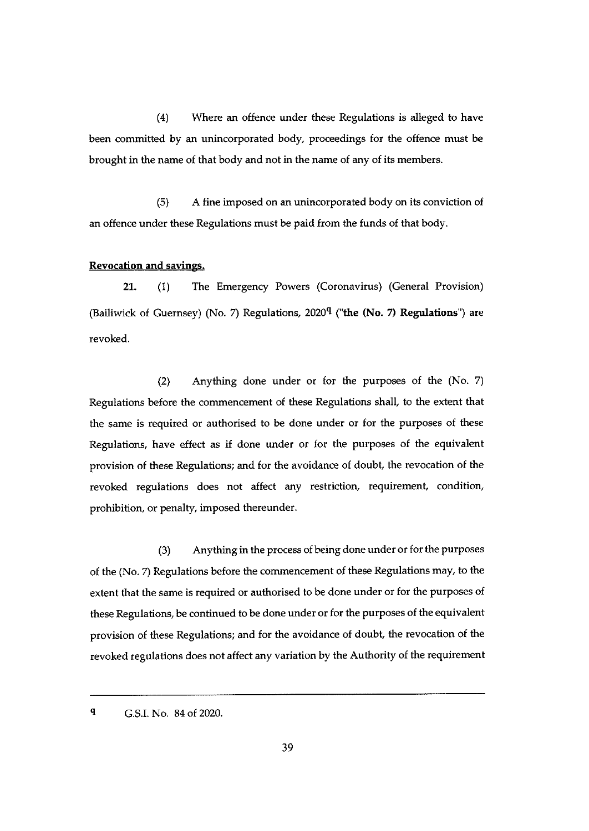(4) Where an offence under these Regulations is alleged to have been committed by an unincorporated body, proceedings for the offence must be brought in the name of that body and not in the name of any of its members.

(5) A fine imposed on an unincorporated body on its conviction of an offence under these Regulations must be paid from the funds of that body.

#### Revocation and savings.

21. (1) The Emergency Powers (Coronavirus) (General Provision) (Bailiwick of Guernsey) (No. 7) Regulations,  $2020<sup>q</sup>$  ("the (No. 7) Regulations") are revoked.

(2) Anything done under or for the purposes of the (No. 7) Regulations before the commencement of these Regulations shall, to the extent that the same is required or authorised to be done under or for the purposes of these Regulations, have effect as if done under or for the purposes of the equivalent provision of these Regulations; and for the avoidance of doubt, the revocation of the revoked regulations does not affect any restriction, requirement, condition, prohibition, or penalty, imposed thereunder.

(3) Anything in the process of being done under or for the purposes of the (No. 7) Regulations before the commencement of these Regulations may, to the extent that the same is required or authorised to be done under or for the purposes of these Regulations, be continued to be done under or for the purposes of the equivalent provision of these Regulations; and for the avoidance of doubt, the revocation of the revoked regulations does not affect any variation by the Authority of the requirement

q G.S.I. No. 84 of 2020.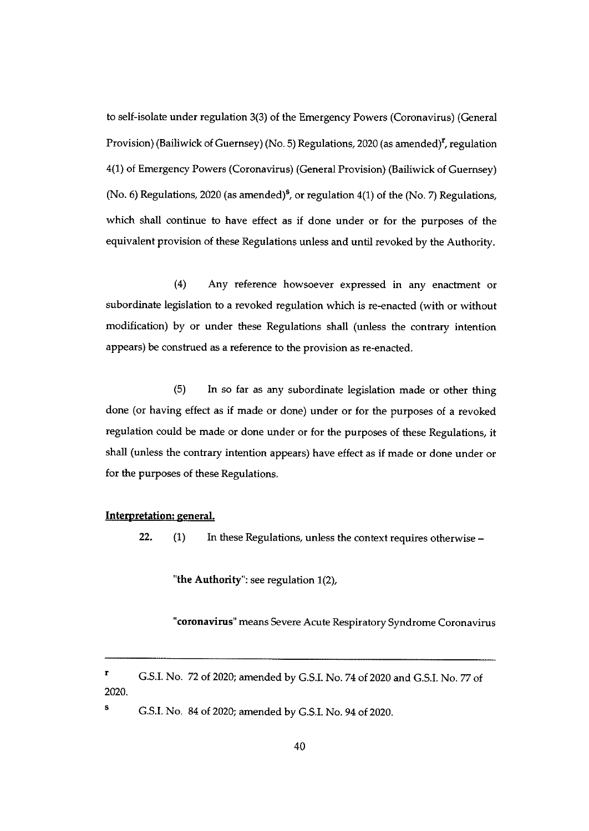to self-isolate under regulation 3(3) of the Emergency Powers (Coronavirus) (General Provision) (Bailiwick of Guernsey) (No. 5) Regulations, 2020 (as amended)<sup>r</sup>, regulation 4(1) of Emergency Powers (Coronavirus) (General Provision) (Bailiwick of Guernsey) (No. 6) Regulations, 2020 (as amended)<sup>5</sup>, or regulation 4(1) of the (No. 7) Regulations, which shall continue to have effect as if done under or for the purposes of the equivalent provision of these Regulations unless and until revoked by the Authority.

(4) Any reference howsoever expressed in any enactment or subordinate legislation to a revoked regulation which is re-enacted (with or without modification) by or under these Regulations shall (unless the contrary intention appears) be construed as a reference to the provision as re-enacted.

(5) In so far as any subordinate legislation made or other thing done (or having effect as if made or done) under or for the purposes of a revoked regulation could be made or done under or for the purposes of these Regulations, it shall (unless the contrary intention appears) have effect as if made or done under or for the purposes of these Regulations.

#### Interpretation: general.

22. (1) In these Regulations, unless the context requires otherwise —

"the Authority": see regulation  $1(2)$ ,

"coronavirus" means Severe Acute Respiratory Syndrome Coronavirus

<sup>S</sup> G.S.I. No. 84 of 2020; amended by G.S.I. No. 94 of 2020.

<sup>r</sup> G.S.I. No. <sup>72</sup> of 2020; amended by G.S.I. No. <sup>74</sup> of <sup>2020</sup> and G.S.I. No. <sup>77</sup> of 2020.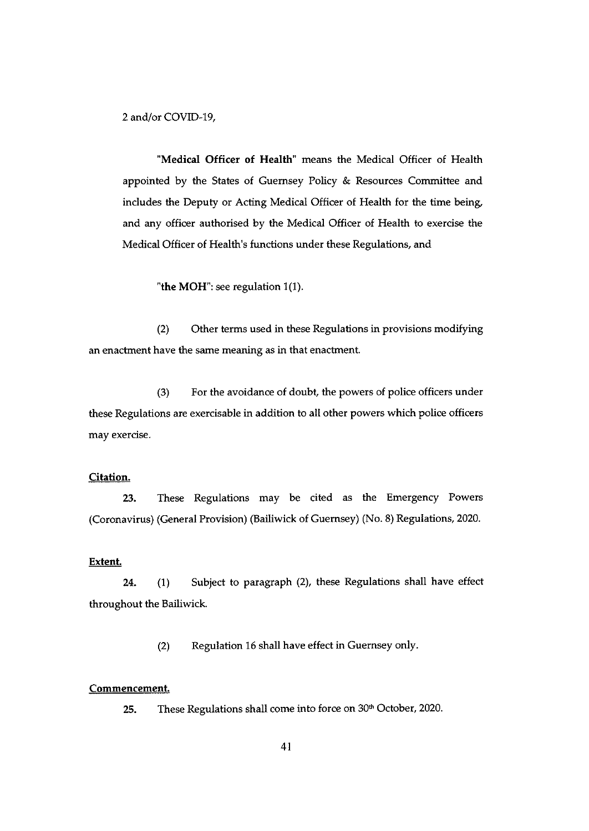2 and/or COVID-19,

"Medicaj Officer of Health" means the Medical Officer of Health appointed by the States of Guernsey Policy & Resources Committee and includes the Deputy or Acting Medical Officer of Health for the time being, and any officer authorised by the Medical Officer of Health to exercise the Medical Officer of Health's functions under these Regulations, and

"the MOH": see regulation  $1(1)$ .

(2) Other terms used in these Regulations in provisions modifying an enactment have the same meaning as in that enactment.

(3) For the avoidance of doubt, the powers of police officers under these Regulations are exercisable in addition to all other powers which police officers may exercise.

#### Citation.

23. These Regulations may be cited as the Emergency Powers (Coronavirus) (General Provision) (Bailiwick of Guernsey) (No. 8) Regulations, 2020.

#### Extent.

24. (1) Subject to paragraph (2), these Regulations shall have effect throughout the Bailiwick.

(2) Regulation 16 shall have effect in Guernsey only.

#### Commencement.

25. These Regulations shall come into force on  $30<sup>th</sup>$  October, 2020.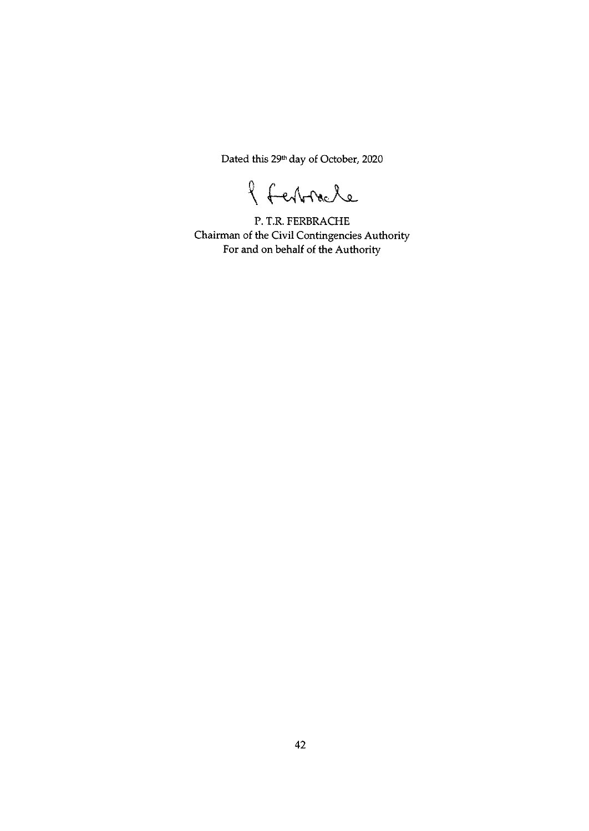Dated this 29<sup>th</sup> day of October, 2020

l Ferbracle

P. T.R. FERBRACHE Chairman of the Civil Contingencies Authority For and on behalf of the Authority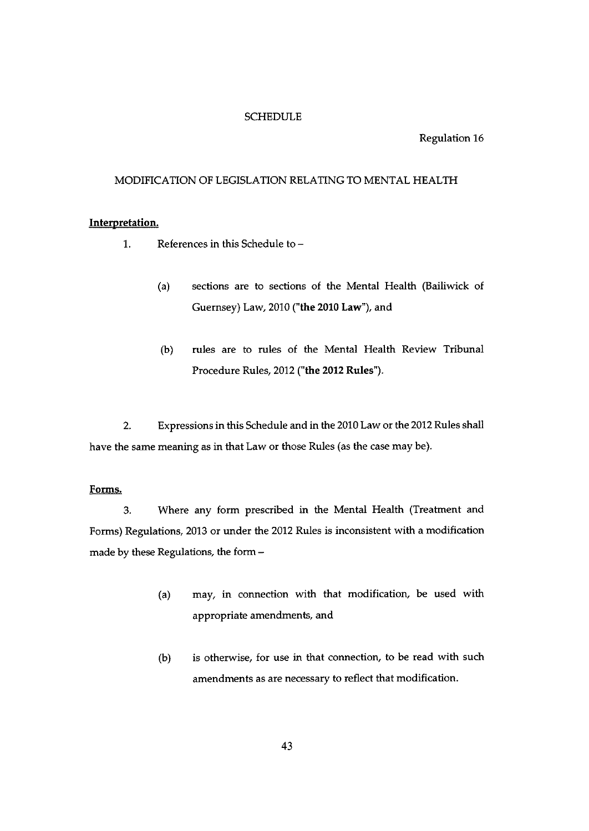#### **SCHEDULE**

#### Regulation 16

#### MODIFICATION OF LEGISLATION RELATING TO MENTAL HEALTH

## Interpretation.

- 1. References in this Schedule to
	- (a) sections are to sections of the Mental Health (Bailiwick of Guernsey) Law, 2010 ("the 2010 Law"), and
	- (b) rules are to rules of the Mental Health Review Tribunal Procedure Rules, 2012 ("the 2012 Rules").

2. Expressions in this Schedule and in the 2010 Law or the 2012 Rules shall have the same meaning as in that Law or those Rules (as the case may be).

#### Forms.

3. Where any form prescribed in the Mental Health (Treatment and Forms) Regulations, 2013 or under the 2012 Rules is inconsistent with a modification made by these Regulations, the form —

- (a) may, in connection with that modification, be used with appropriate amendments, and
- (b) is otherwise, for use in that connection, to be read with such amendments as are necessary to reflect that modification.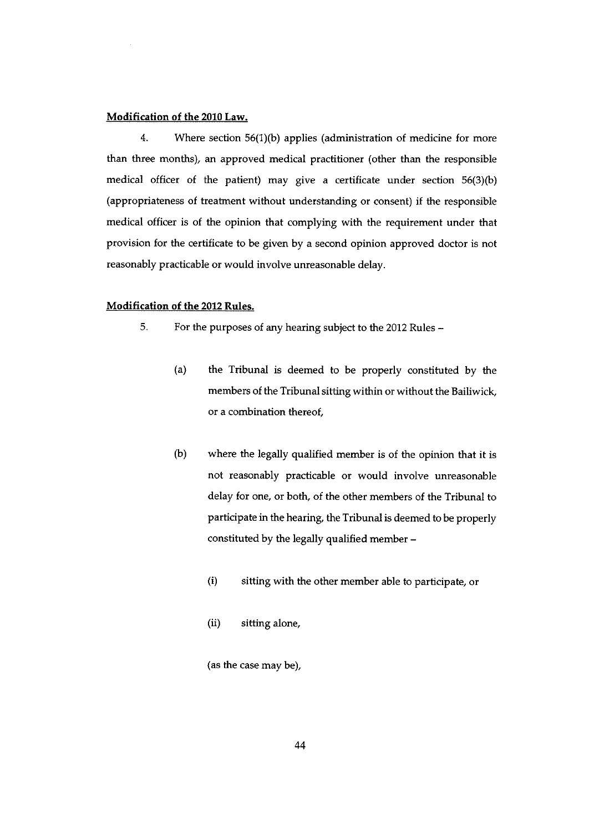#### Modification of the 2010 Law.

4. Where section 56(1)(b) applies (administration of medicine for more than three months), an approved medical practitioner (other than the responsible medical officer of the patient) may give a certificate under section 56(3)(b) (appropriateness of treatment without understanding or consent) if the responsible medical officer is of the opinion that complying with the requirement under that provision for the certificate to be given by a second opinion approved doctor is not reasonably practicable or would involve unreasonable delay.

#### Modification of the 2012 Rules.

- 5. For the purposes of any hearing subject to the 2012 Rules
	- (a) the Tribunal is deemed to be properly constituted by the members of the Tribunal sitting within or without the Bailiwick, or a combination thereof,
	- (b) where the legally qualified member is of the opinion that it is not reasonably practicable or would involve unreasonable delay for one, or both, of the other members of the Tribunal to participate in the hearing, the Tribunal is deemed to be properly constituted by the legally qualified member —
		- (i) sitting with the other member able to participate, or
		- (ii) sitting alone,

(as the case may be),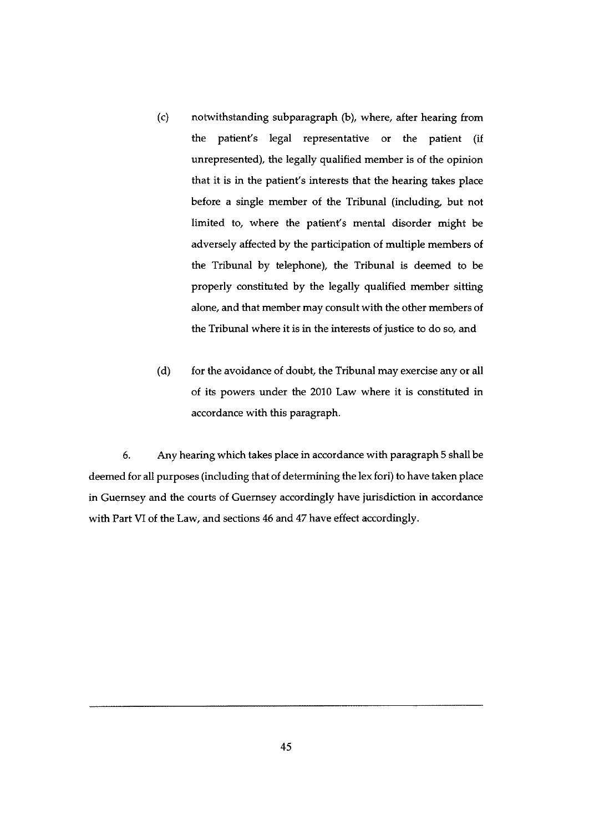- (c) notwithstanding subparagraph (b), where, after hearing from the patient's legal representative or the patient (if unrepresented), the legally qualified member is of the opinion that it is in the patient's interests that the hearing takes place before a single member of the Tribunal (including, but not limited to, where the patient's mental disorder might be adversely affected by the participation of multiple members of the Tribunal by telephone), the Tribunal is deemed to be properly constituted by the legally qualified member sitting alone, and that member may consult with the other members of the Tribunal where it is in the interests of justice to do so, and
- (d) for the avoidance of doubt, the Tribunal may exercise any or all of its powers under the 2010 Law where it is constituted in accordance with this paragraph.

6. Any hearing which takes place in accordance with paragraph 5 shall be deemed for all purposes (including that of determining the lex fori) to have taken place in Guernsey and the courts of Guernsey accordingly have jurisdiction in accordance with Part VI of the Law, and sections 46 and 47 have effect accordingly.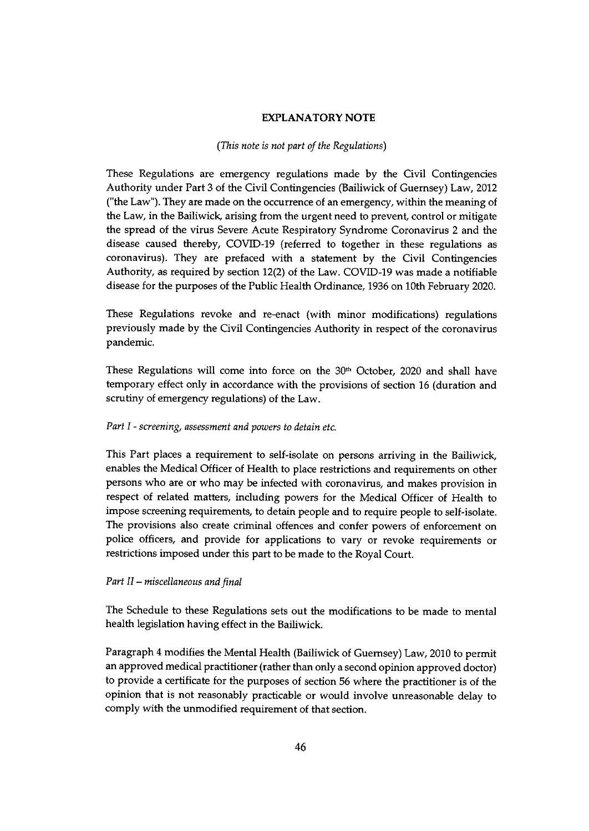#### EXPLANATORY NOTE

#### (This note is not part of the Regulations)

These Regulations are emergency regulations made by the Civil Contingencies Authority under Part 3 of the Civil Contingencies (Bailiwick of Guernsey) Law, 2012 ("the Law"). They are made on the occurrence of an emergency, within the meaning of the Law, in the Bailiwick, arising from the urgent need to prevent, control or mitigate the spread of the virus Severe Acute Respiratory Syndrome Coronavirus 2 and the disease caused thereby, COVID-19 (referred to together in these regulations as coronavirus). They are prefaced with a statement by the Civil Contingencies Authority, as required by section 12(2) of the Law. COVID-19 was made a notifiable disease for the purposes of the Public Health Ordinance, 1936 on 10th February 2020.

These Regulations revoke and re-enact (with minor modifications) regulations previously made by the Civil Contingencies Authority in respect of the coronavirus pandemic.

These Regulations will come into force on the  $30<sup>th</sup>$  October, 2020 and shall have temporary effect only in accordance with the provisions of section 16 (duration and scrutiny of emergency regulations) of the Law.

#### Part I - screening, assessment and powers to detain etc.

This Part places a requirement to self-isolate on persons arriving in the Bailiwick, enables the Medical Officer of Health to place restrictions and requirements on other persons who are or who may be infected with coronavirus, and makes provision in respect of related matters, including powers for the Medical Officer of Health to impose screening requirements, to detain people and to require people to self-isolate. The provisions also create criminal offences and confer powers of enforcement on police officers, and provide for applications to vary or revoke requirements or restrictions imposed under this part to be made to the Royal Court.

#### Part II — miscellaneous and final

The Schedule to these Regulations sets out the modifications to be made to mental health legislation having effect in the Bailiwick.

Paragraph <sup>4</sup> modifies the Mental Health (Bailiwick of Guernsey) Law, 2010 to permit an approved medical practitioner (rather than only a second opinion approved doctor) to provide a certificate for the purposes of section 56 where the practitioner is of the opinion that is not reasonably practicable or would involve unreasonable delay to comply with the unmodified requirement of that section.